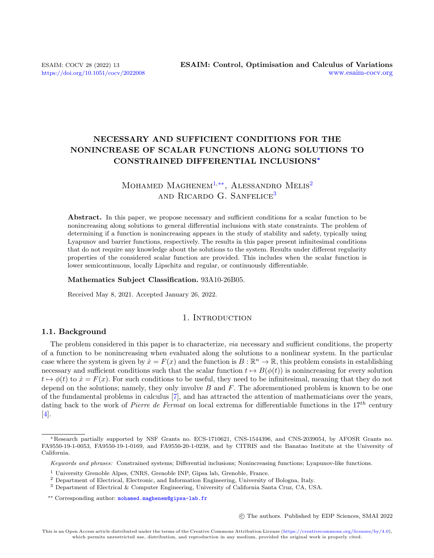## NECESSARY AND SUFFICIENT CONDITIONS FOR THE NONINCREASE OF SCALAR FUNCTIONS ALONG SOLUTIONS TO CONSTRAINED DIFFERENTIAL INCLUSIONS<sup>∗</sup>

### MOHAMED MAGHENEM<sup>[1,](#page-0-0)[\\*\\*](#page-0-1)</sup>, ALESSANDRO MELIS<sup>[2](#page-0-2)</sup> and RICARDO G. SANFELICE<sup>[3](#page-0-3)</sup>

Abstract. In this paper, we propose necessary and sufficient conditions for a scalar function to be nonincreasing along solutions to general differential inclusions with state constraints. The problem of determining if a function is nonincreasing appears in the study of stability and safety, typically using Lyapunov and barrier functions, respectively. The results in this paper present infinitesimal conditions that do not require any knowledge about the solutions to the system. Results under different regularity properties of the considered scalar function are provided. This includes when the scalar function is lower semicontinuous, locally Lipschitz and regular, or continuously differentiable.

### Mathematics Subject Classification. 93A10-26B05.

Received May 8, 2021. Accepted January 26, 2022.

### 1. INTRODUCTION

### <span id="page-0-4"></span>1.1. Background

The problem considered in this paper is to characterize, via necessary and sufficient conditions, the property of a function to be nonincreasing when evaluated along the solutions to a nonlinear system. In the particular case where the system is given by  $\dot{x} = F(x)$  and the function is  $B : \mathbb{R}^n \to \mathbb{R}$ , this problem consists in establishing necessary and sufficient conditions such that the scalar function  $t \mapsto B(\phi(t))$  is nonincreasing for every solution  $t \mapsto \phi(t)$  to  $\dot{x} = F(x)$ . For such conditions to be useful, they need to be infinitesimal, meaning that they do not depend on the solutions; namely, they only involve  $B$  and  $F$ . The aforementioned problem is known to be one of the fundamental problems in calculus [\[7\]](#page-21-0), and has attracted the attention of mathematicians over the years, dating back to the work of *Pierre de Fermat* on local extrema for differentiable functions in the  $17^{th}$  century [\[4\]](#page-21-1).

c The authors. Published by EDP Sciences, SMAI 2022

<sup>∗</sup>Research partially supported by NSF Grants no. ECS-1710621, CNS-1544396, and CNS-2039054, by AFOSR Grants no. FA9550-19-1-0053, FA9550-19-1-0169, and FA9550-20-1-0238, and by CITRIS and the Banatao Institute at the University of California.

<span id="page-0-1"></span>Keywords and phrases: Constrained systems; Differential inclusions; Nonincreasing functions; Lyapunov-like functions.

<span id="page-0-0"></span><sup>&</sup>lt;sup>1</sup> University Grenoble Alpes, CNRS, Grenoble INP, Gipsa lab, Grenoble, France.

<span id="page-0-2"></span><sup>2</sup> Department of Electrical, Electronic, and Information Engineering, University of Bologna, Italy.

<span id="page-0-3"></span><sup>3</sup> Department of Electrical & Computer Engineering, University of California Santa Cruz, CA, USA.

<sup>\*\*</sup> Corresponding author: [mohamed.maghenem@gipsa-lab.fr](mailto:mohamed.maghenem@gipsa-lab.fr)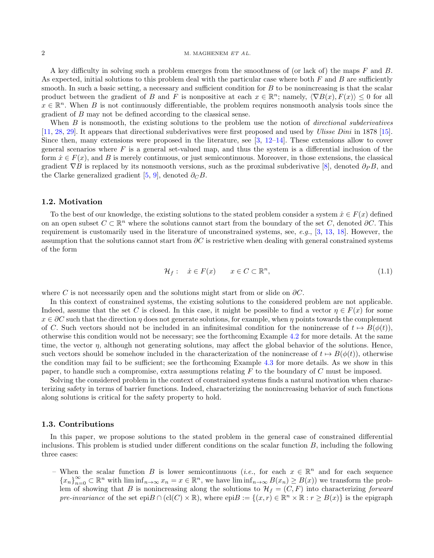A key difficulty in solving such a problem emerges from the smoothness of (or lack of) the maps  $F$  and  $B$ . As expected, initial solutions to this problem deal with the particular case where both  $F$  and  $B$  are sufficiently smooth. In such a basic setting, a necessary and sufficient condition for B to be nonincreasing is that the scalar product between the gradient of B and F is nonpositive at each  $x \in \mathbb{R}^n$ ; namely,  $\langle \nabla B(x), F(x) \rangle \leq 0$  for all  $x \in \mathbb{R}^n$ . When B is not continuously differentiable, the problem requires nonsmooth analysis tools since the gradient of B may not be defined according to the classical sense.

When  $B$  is nonsmooth, the existing solutions to the problem use the notion of *directional subderivatives* [\[11,](#page-21-2) [28,](#page-21-3) [29\]](#page-21-4). It appears that directional subderivatives were first proposed and used by Ulisse Dini in 1878 [\[15\]](#page-21-5). Since then, many extensions were proposed in the literature, see [\[3,](#page-21-6) [12–](#page-21-7)[14\]](#page-21-8). These extensions allow to cover general scenarios where  $F$  is a general set-valued map, and thus the system is a differential inclusion of the form  $\dot{x} \in F(x)$ , and B is merely continuous, or just semicontinuous. Moreover, in those extensions, the classical gradient  $\nabla B$  is replaced by its nonsmooth versions, such as the proximal subderivative [\[8\]](#page-21-9), denoted  $\partial_P B$ , and the Clarke generalized gradient [\[5,](#page-21-10) [9\]](#page-21-11), denoted  $\partial_C B$ .

### <span id="page-1-1"></span>1.2. Motivation

To the best of our knowledge, the existing solutions to the stated problem consider a system  $\dot{x} \in F(x)$  defined on an open subset  $C \subset \mathbb{R}^n$  where the solutions cannot start from the boundary of the set C, denoted  $\partial C$ . This requirement is customarily used in the literature of unconstrained systems, see, e.g.,  $[3, 13, 18]$  $[3, 13, 18]$  $[3, 13, 18]$  $[3, 13, 18]$  $[3, 13, 18]$ . However, the assumption that the solutions cannot start from  $\partial C$  is restrictive when dealing with general constrained systems of the form

<span id="page-1-0"></span>
$$
\mathcal{H}_f: \quad \dot{x} \in F(x) \qquad x \in C \subset \mathbb{R}^n,\tag{1.1}
$$

where C is not necessarily open and the solutions might start from or slide on  $\partial C$ .

In this context of constrained systems, the existing solutions to the considered problem are not applicable. Indeed, assume that the set C is closed. In this case, it might be possible to find a vector  $\eta \in F(x)$  for some  $x \in \partial C$  such that the direction  $\eta$  does not generate solutions, for example, when  $\eta$  points towards the complement of C. Such vectors should not be included in an infinitesimal condition for the nonincrease of  $t \mapsto B(\phi(t))$ , otherwise this condition would not be necessary; see the forthcoming Example [4.2](#page-7-0) for more details. At the same time, the vector  $\eta$ , although not generating solutions, may affect the global behavior of the solutions. Hence, such vectors should be somehow included in the characterization of the nonincrease of  $t \mapsto B(\phi(t))$ , otherwise the condition may fail to be sufficient; see the forthcoming Example [4.3](#page-7-1) for more details. As we show in this paper, to handle such a compromise, extra assumptions relating  $F$  to the boundary of  $C$  must be imposed.

Solving the considered problem in the context of constrained systems finds a natural motivation when characterizing safety in terms of barrier functions. Indeed, characterizing the nonincreasing behavior of such functions along solutions is critical for the safety property to hold.

#### 1.3. Contributions

In this paper, we propose solutions to the stated problem in the general case of constrained differential inclusions. This problem is studied under different conditions on the scalar function  $B$ , including the following three cases:

– When the scalar function B is lower semicontinuous (*i.e.*, for each  $x \in \mathbb{R}^n$  and for each sequence  ${x_n}_{n=0}^{\infty} \subset \mathbb{R}^n$  with  $\liminf_{n\to\infty} x_n = x \in \mathbb{R}^n$ , we have  $\liminf_{n\to\infty} B(x_n) \geq B(x)$  we transform the problem of showing that B is nonincreasing along the solutions to  $\mathcal{H}_f = (C, F)$  into characterizing forward pre-invariance of the set epi $B \cap (cl(C) \times \mathbb{R})$ , where  $epiB := \{(x, r) \in \mathbb{R}^n \times \mathbb{R} : r \geq B(x)\}\$ is the epigraph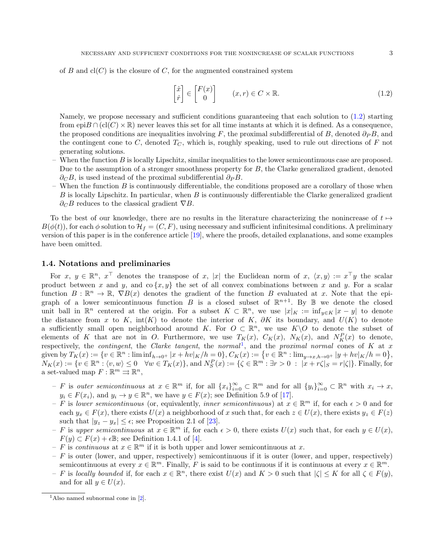of B and  $cl(C)$  is the closure of C, for the augmented constrained system

<span id="page-2-0"></span>
$$
\begin{bmatrix} \dot{x} \\ \dot{r} \end{bmatrix} \in \begin{bmatrix} F(x) \\ 0 \end{bmatrix} \qquad (x, r) \in C \times \mathbb{R}.
$$
 (1.2)

Namely, we propose necessary and sufficient conditions guaranteeing that each solution to [\(1.2\)](#page-2-0) starting from epi $B \cap (cl(C) \times \mathbb{R})$  never leaves this set for all time instants at which it is defined. As a consequence, the proposed conditions are inequalities involving F, the proximal subdifferential of B, denoted  $\partial_P B$ , and the contingent cone to C, denoted  $T_C$ , which is, roughly speaking, used to rule out directions of F not generating solutions.

- When the function  $B$  is locally Lipschitz, similar inequalities to the lower semicontinuous case are proposed. Due to the assumption of a stronger smoothness property for B, the Clarke generalized gradient, denoted  $\partial_C B$ , is used instead of the proximal subdifferential  $\partial_P B$ .
- When the function  $B$  is continuously differentiable, the conditions proposed are a corollary of those when B is locally Lipschitz. In particular, when B is continuously differentiable the Clarke generalized gradient  $∂<sub>C</sub>B$  reduces to the classical gradient  $∇B$ .

To the best of our knowledge, there are no results in the literature characterizing the nonincrease of  $t \mapsto$  $B(\phi(t))$ , for each  $\phi$  solution to  $\mathcal{H}_f = (C, F)$ , using necessary and sufficient infinitesimal conditions. A preliminary version of this paper is in the conference article [\[19\]](#page-21-14), where the proofs, detailed explanations, and some examples have been omitted.

### 1.4. Notations and preliminaries

For  $x, y \in \mathbb{R}^n$ ,  $x^{\top}$  denotes the transpose of x, |x| the Euclidean norm of  $x, \langle x, y \rangle := x^{\top}y$  the scalar product between x and y, and  $\alpha \{x, y\}$  the set of all convex combinations between x and y. For a scalar function  $B: \mathbb{R}^n \to \mathbb{R}$ ,  $\nabla B(x)$  denotes the gradient of the function B evaluated at x. Note that the epigraph of a lower semicontinuous function B is a closed subset of  $\mathbb{R}^{n+1}$ . By B we denote the closed unit ball in  $\mathbb{R}^n$  centered at the origin. For a subset  $K \subset \mathbb{R}^n$ , we use  $|x|_K := \inf_{y \in K} |x - y|$  to denote the distance from x to K, int(K) to denote the interior of K,  $\partial K$  its boundary, and  $U(K)$  to denote a sufficiently small open neighborhood around K. For  $O \subset \mathbb{R}^n$ , we use  $K\setminus O$  to denote the subset of elements of K that are not in O. Furthermore, we use  $T_K(x)$ ,  $C_K(x)$ ,  $N_K(x)$ , and  $N_K^P(x)$  to denote, respectively, the *contingent*, the *Clarke tangent*, the *normal*<sup>[1](#page-2-1)</sup>, and the *proximal normal* cones of K at x given by  $T_K(x) := \{v \in \mathbb{R}^n : \liminf_{h \to 0^+} |x + hv|_K/h = 0\}$ ,  $C_K(x) := \{v \in \mathbb{R}^n : \lim_{y \to x, h \to 0^+} |y + hv|_K/h = 0\}$ ,  $N_K(x) := \{v \in \mathbb{R}^n : \langle v, w \rangle \leq 0 \quad \forall w \in T_K(x)\},\$  and  $N_S^P(x) := \{\zeta \in \mathbb{R}^m : \exists r > 0 \; : \; |x + r\zeta|_S = r|\zeta|\}.$  Finally, for a set-valued map  $F: \mathbb{R}^m \rightrightarrows \mathbb{R}^n$ ,

- $-F$  is outer semicontinuous at  $x \in \mathbb{R}^m$  if, for all  $\{x_i\}_{i=0}^{\infty} \subset \mathbb{R}^m$  and for all  $\{y_i\}_{i=0}^{\infty} \subset \mathbb{R}^n$  with  $x_i \to x$ ,  $y_i \in F(x_i)$ , and  $y_i \to y \in \mathbb{R}^n$ , we have  $y \in F(x)$ ; see Definition 5.9 of [\[17\]](#page-21-15).
- F is lower semicontinuous (or, equivalently, inner semicontinuous) at  $x \in \mathbb{R}^m$  if, for each  $\epsilon > 0$  and for each  $y_x \in F(x)$ , there exists  $U(x)$  a neighborhood of x such that, for each  $z \in U(x)$ , there exists  $y_z \in F(z)$ such that  $|y_z - y_x| \leq \epsilon$ ; see Proposition 2.1 of [\[23\]](#page-21-16).
- $-F$  is upper semicontinuous at  $x \in \mathbb{R}^m$  if, for each  $\epsilon > 0$ , there exists  $U(x)$  such that, for each  $y \in U(x)$ ,  $F(y) \subset F(x) + \epsilon \mathbb{B}$ ; see Definition 1.4.1 of [\[4\]](#page-21-1).
- $-F$  is continuous at  $x \in \mathbb{R}^m$  if it is both upper and lower semicontinuous at x.
- $-$  F is outer (lower, and upper, respectively) semicontinuous if it is outer (lower, and upper, respectively) semicontinuous at every  $x \in \mathbb{R}^m$ . Finally, F is said to be continuous if it is continuous at every  $x \in \mathbb{R}^m$ .
- $-F$  is locally bounded if, for each  $x \in \mathbb{R}^n$ , there exist  $U(x)$  and  $K > 0$  such that  $|\zeta| \leq K$  for all  $\zeta \in F(y)$ , and for all  $y \in U(x)$ .

<span id="page-2-1"></span><sup>&</sup>lt;sup>1</sup>Also named subnormal cone in  $[2]$ .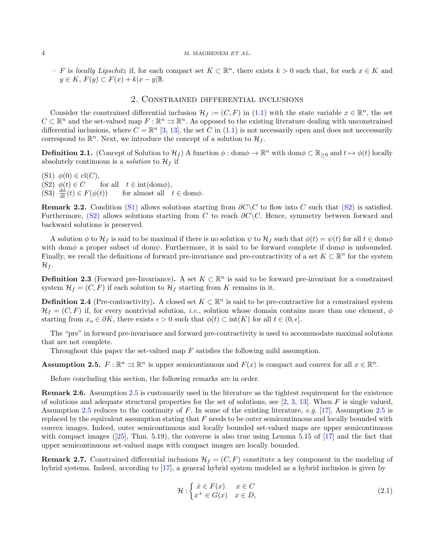$-$  F is locally Lipschitz if, for each compact set  $K \subset \mathbb{R}^n$ , there exists  $k > 0$  such that, for each  $x \in K$  and  $y \in K$ ,  $F(y) \subset F(x) + k|x-y| \mathbb{B}$ .

### 2. Constrained differential inclusions

Consider the constrained differential inclusion  $\mathcal{H}_f := (C, F)$  in [\(1.1\)](#page-1-0) with the state variable  $x \in \mathbb{R}^n$ , the set  $C \subset \mathbb{R}^n$  and the set-valued map  $F : \mathbb{R}^n \rightrightarrows \mathbb{R}^n$ . As opposed to the existing literature dealing with unconstrained differential inclusions, where  $C = \mathbb{R}^n$  [\[3,](#page-21-6) [13\]](#page-21-12), the set C in [\(1.1\)](#page-1-0) is not necessarily open and does not necessarily correspond to  $\mathbb{R}^n$ . Next, we introduce the concept of a solution to  $\mathcal{H}_f$ .

**Definition 2.1.** (Concept of Solution to  $\mathcal{H}_f$ ) A function  $\phi : \text{dom}\phi \to \mathbb{R}^n$  with  $\text{dom}\phi \subset \mathbb{R}_{\geq 0}$  and  $t \mapsto \phi(t)$  locally absolutely continuous is a *solution* to  $\mathcal{H}_f$  if

<span id="page-3-1"></span><span id="page-3-0"></span>(S1)  $\phi(0) \in \text{cl}(C)$ ,<br>(S2)  $\phi(t) \in C$ for all  $t \in \text{int}(\text{dom}\phi)$ , (S3)  $\frac{d\phi}{dt}(t) \in F(\phi(t))$  for almost all  $t \in \text{dom}\phi$ .

Remark 2.2. Condition [\(S1\)](#page-3-0) allows solutions starting from  $\partial C\setminus C$  to flow into C such that [\(S2\)](#page-3-1) is satisfied. Furthermore, [\(S2\)](#page-3-1) allows solutions starting from C to reach  $\partial C \setminus C$ . Hence, symmetry between forward and backward solutions is preserved.

A solution  $\phi$  to  $\mathcal{H}_f$  is said to be maximal if there is no solution  $\psi$  to  $\mathcal{H}_f$  such that  $\phi(t) = \psi(t)$  for all  $t \in \text{dom}\phi$ with dom $\phi$  a proper subset of dom $\psi$ . Furthermore, it is said to be forward complete if dom $\phi$  is unbounded. Finally, we recall the definitions of forward pre-invariance and pre-contractivity of a set  $K \subset \mathbb{R}^n$  for the system  $\mathcal{H}_f$ .

**Definition 2.3** (Forward pre-Invariance). A set  $K \subset \mathbb{R}^n$  is said to be forward pre-invariant for a constrained system  $\mathcal{H}_f = (C, F)$  if each solution to  $\mathcal{H}_f$  starting from K remains in it.

**Definition 2.4** (Pre-contractivity). A closed set  $K \subset \mathbb{R}^n$  is said to be pre-contractive for a constrained system  $\mathcal{H}_f = (C, F)$  if, for every nontrivial solution, *i.e.*, solution whose domain contains more than one element,  $\phi$ starting from  $x_o \in \partial K$ , there exists  $\epsilon > 0$  such that  $\phi(t) \subset \text{int}(K)$  for all  $t \in (0, \epsilon]$ .

The "pre" in forward pre-invariance and forward pre-contractivity is used to accommodate maximal solutions that are not complete.

Throughout this paper the set-valued map F satisfies the following mild assumption.

<span id="page-3-2"></span>**Assumption 2.5.**  $F : \mathbb{R}^n \Rightarrow \mathbb{R}^n$  is upper semicontinuous and  $F(x)$  is compact and convex for all  $x \in \mathbb{R}^n$ .

Before concluding this section, the following remarks are in order.

Remark 2.6. Assumption [2.5](#page-3-2) is customarily used in the literature as the tightest requirement for the existence of solutions and adequate structural properties for the set of solutions, see  $[2, 3, 13]$  $[2, 3, 13]$  $[2, 3, 13]$  $[2, 3, 13]$  $[2, 3, 13]$ . When F is single valued, Assumption [2.5](#page-3-2) reduces to the continuity of F. In some of the existing literature, e.g. [\[17\]](#page-21-15), Assumption [2.5](#page-3-2) is replaced by the equivalent assumption stating that F needs to be outer semicontinuous and locally bounded with convex images. Indeed, outer semicontinuous and locally bounded set-valued maps are upper semicontinuous with compact images ( $[25]$ , Thm. 5.19), the converse is also true using Lemma 5.15 of  $[17]$  and the fact that upper semicontinuous set-valued maps with compact images are locally bounded.

<span id="page-3-3"></span>**Remark 2.7.** Constrained differential inclusions  $\mathcal{H}_f = (C, F)$  constitute a key component in the modeling of hybrid systems. Indeed, according to [\[17\]](#page-21-15), a general hybrid system modeled as a hybrid inclusion is given by

$$
\mathcal{H}: \begin{cases} \dot{x} \in F(x) & x \in C \\ x^+ \in G(x) & x \in D, \end{cases} \tag{2.1}
$$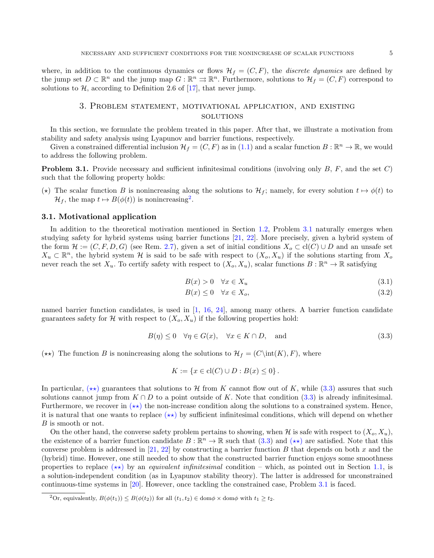where, in addition to the continuous dynamics or flows  $\mathcal{H}_f = (C, F)$ , the *discrete dynamics* are defined by the jump set  $D \subset \mathbb{R}^n$  and the jump map  $G : \mathbb{R}^n \rightrightarrows \mathbb{R}^n$ . Furthermore, solutions to  $\mathcal{H}_f = (C, F)$  correspond to solutions to  $H$ , according to Definition 2.6 of [\[17\]](#page-21-15), that never jump.

### 3. Problem statement, motivational application, and existing **SOLUTIONS**

In this section, we formulate the problem treated in this paper. After that, we illustrate a motivation from stability and safety analysis using Lyapunov and barrier functions, respectively.

Given a constrained differential inclusion  $\mathcal{H}_f = (C, F)$  as in  $(1.1)$  and a scalar function  $B : \mathbb{R}^n \to \mathbb{R}$ , we would to address the following problem.

<span id="page-4-1"></span>**Problem 3.1.** Provide necessary and sufficient infinitesimal conditions (involving only  $B$ ,  $F$ , and the set  $C$ ) such that the following property holds:

<span id="page-4-4"></span>(\*) The scalar function B is nonincreasing along the solutions to  $\mathcal{H}_f$ ; namely, for every solution  $t \mapsto \phi(t)$  to  $\mathcal{H}_f$ , the map  $t \mapsto B(\phi(t))$  is nonincreasing<sup>[2](#page-4-0)</sup>.

### 3.1. Motivational application

In addition to the theoretical motivation mentioned in Section [1.2,](#page-1-1) Problem [3.1](#page-4-1) naturally emerges when studying safety for hybrid systems using barrier functions [\[21,](#page-21-19) [22\]](#page-21-20). More precisely, given a hybrid system of the form  $\mathcal{H} := (C, F, D, G)$  (see Rem. [2.7\)](#page-3-3), given a set of initial conditions  $X_o \subset cl(C) \cup D$  and an unsafe set  $X_u \subset \mathbb{R}^n$ , the hybrid system H is said to be safe with respect to  $(X_o, X_u)$  if the solutions starting from  $X_o$ never reach the set  $X_u$ . To certify safety with respect to  $(X_o, X_u)$ , scalar functions  $B : \mathbb{R}^n \to \mathbb{R}$  satisfying

$$
B(x) > 0 \quad \forall x \in X_u \tag{3.1}
$$

<span id="page-4-3"></span>
$$
B(x) \le 0 \quad \forall x \in X_o,\tag{3.2}
$$

named barrier function candidates, is used in [\[1,](#page-21-21) [16,](#page-21-22) [24\]](#page-21-23), among many others. A barrier function candidate guarantees safety for H with respect to  $(X_o, X_u)$  if the following properties hold:

$$
B(\eta) \le 0 \quad \forall \eta \in G(x), \quad \forall x \in K \cap D, \quad \text{and} \tag{3.3}
$$

<span id="page-4-2"></span>(\*\*) The function B is nonincreasing along the solutions to  $\mathcal{H}_f = (C\text{int}(K), F)$ , where

$$
K := \{ x \in \text{cl}(C) \cup D : B(x) \le 0 \}.
$$

In particular,  $(\star \star)$  guarantees that solutions to H from K cannot flow out of K, while [\(3.3\)](#page-4-3) assures that such solutions cannot jump from  $K \cap D$  to a point outside of K. Note that condition [\(3.3\)](#page-4-3) is already infinitesimal. Furthermore, we recover in  $(\star \star)$  the non-increase condition along the solutions to a constrained system. Hence, it is natural that one wants to replace  $(\star \star)$  by sufficient infinitesimal conditions, which will depend on whether B is smooth or not.

On the other hand, the converse safety problem pertains to showing, when H is safe with respect to  $(X_o, X_u)$ , the existence of a barrier function candidate  $B : \mathbb{R}^n \to \mathbb{R}$  such that  $(3.3)$  and  $(\star \star)$  are satisfied. Note that this converse problem is addressed in [\[21,](#page-21-19) [22\]](#page-21-20) by constructing a barrier function B that depends on both x and the (hybrid) time. However, one still needed to show that the constructed barrier function enjoys some smoothness properties to replace  $(\star \star)$  by an *equivalent infinitesimal* condition – which, as pointed out in Section [1.1,](#page-0-4) is a solution-independent condition (as in Lyapunov stability theory). The latter is addressed for unconstrained continuous-time systems in [\[20\]](#page-21-24). However, once tackling the constrained case, Problem [3.1](#page-4-1) is faced.

<span id="page-4-0"></span><sup>&</sup>lt;sup>2</sup>Or, equivalently,  $B(\phi(t_1)) \leq B(\phi(t_2))$  for all  $(t_1, t_2) \in \text{dom}\phi \times \text{dom}\phi$  with  $t_1 \geq t_2$ .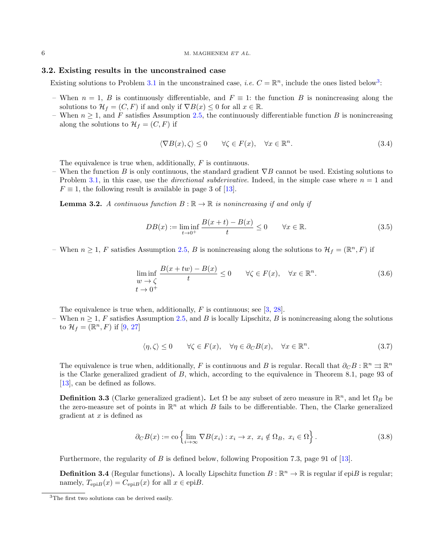### 3.2. Existing results in the unconstrained case

Existing solutions to Problem [3.1](#page-4-1) in the unconstrained case, *i.e.*  $C = \mathbb{R}^n$ , include the ones listed below<sup>[3](#page-5-0)</sup>:

- When  $n = 1$ , B is continuously differentiable, and  $F \equiv 1$ : the function B is nonincreasing along the solutions to  $\mathcal{H}_f = (C, F)$  if and only if  $\nabla B(x) \leq 0$  for all  $x \in \mathbb{R}$ .
- When  $n \geq 1$ , and F satisfies Assumption [2.5,](#page-3-2) the continuously differentiable function B is nonincreasing along the solutions to  $\mathcal{H}_f = (C, F)$  if

<span id="page-5-2"></span>
$$
\langle \nabla B(x), \zeta \rangle \le 0 \qquad \forall \zeta \in F(x), \quad \forall x \in \mathbb{R}^n. \tag{3.4}
$$

The equivalence is true when, additionally, F is continuous.

– When the function B is only continuous, the standard gradient  $\nabla B$  cannot be used. Existing solutions to Problem [3.1,](#page-4-1) in this case, use the *directional subderivative*. Indeed, in the simple case where  $n = 1$  and  $F \equiv 1$ , the following result is available in page 3 of [\[13\]](#page-21-12).

<span id="page-5-4"></span>**Lemma 3.2.** A continuous function  $B : \mathbb{R} \to \mathbb{R}$  is nonincreasing if and only if

$$
DB(x) := \liminf_{t \to 0^+} \frac{B(x+t) - B(x)}{t} \le 0 \qquad \forall x \in \mathbb{R}.
$$
 (3.5)

– When  $n \geq 1$ , F satisfies Assumption [2.5,](#page-3-2) B is nonincreasing along the solutions to  $\mathcal{H}_f = (\mathbb{R}^n, F)$  if

$$
\liminf_{w \to \zeta} \frac{B(x + tw) - B(x)}{t} \le 0 \qquad \forall \zeta \in F(x), \quad \forall x \in \mathbb{R}^n.
$$
\n
$$
(3.6)
$$
\n
$$
t \to 0^+
$$

The equivalence is true when, additionally, F is continuous; see [\[3,](#page-21-6) [28\]](#page-21-3).

– When  $n \geq 1$ , F satisfies Assumption [2.5,](#page-3-2) and B is locally Lipschitz, B is nonincreasing along the solutions to  $\mathcal{H}_f = (\mathbb{R}^n, F)$  if  $[9, 27]$  $[9, 27]$  $[9, 27]$ 

<span id="page-5-1"></span>
$$
\langle \eta, \zeta \rangle \le 0 \qquad \forall \zeta \in F(x), \quad \forall \eta \in \partial_C B(x), \quad \forall x \in \mathbb{R}^n. \tag{3.7}
$$

The equivalence is true when, additionally, F is continuous and B is regular. Recall that  $\partial_C B : \mathbb{R}^n \rightrightarrows \mathbb{R}^n$ is the Clarke generalized gradient of B, which, according to the equivalence in Theorem 8.1, page 93 of [\[13\]](#page-21-12), can be defined as follows.

<span id="page-5-3"></span>**Definition 3.3** (Clarke generalized gradient). Let  $\Omega$  be any subset of zero measure in  $\mathbb{R}^n$ , and let  $\Omega_B$  be the zero-measure set of points in  $\mathbb{R}^n$  at which B fails to be differentiable. Then, the Clarke generalized gradient at  $x$  is defined as

$$
\partial_C B(x) := \text{co}\left\{ \lim_{i \to \infty} \nabla B(x_i) : x_i \to x, \ x_i \notin \Omega_B, \ x_i \in \Omega \right\}.
$$
 (3.8)

Furthermore, the regularity of B is defined below, following Proposition 7.3, page 91 of [\[13\]](#page-21-12).

<span id="page-5-5"></span>**Definition 3.4** (Regular functions). A locally Lipschitz function  $B : \mathbb{R}^n \to \mathbb{R}$  is regular if epi $B$  is regular; namely,  $T_{\text{evi}B}(x) = C_{\text{evi}B}(x)$  for all  $x \in \text{epi}B$ .

<span id="page-5-0"></span><sup>3</sup>The first two solutions can be derived easily.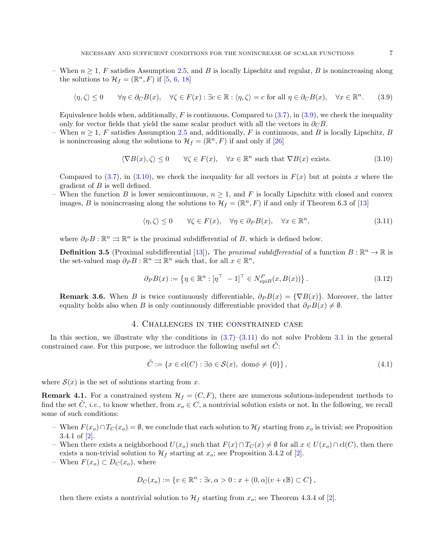– When  $n \geq 1$ , F satisfies Assumption [2.5,](#page-3-2) and B is locally Lipschitz and regular, B is nonincreasing along the solutions to  $\mathcal{H}_f = (\mathbb{R}^n, F)$  if [\[5,](#page-21-10) [6,](#page-21-26) [18\]](#page-21-13)

$$
\langle \eta, \zeta \rangle \le 0 \qquad \forall \eta \in \partial_C B(x), \quad \forall \zeta \in F(x) : \exists c \in \mathbb{R} : \langle \eta, \zeta \rangle = c \text{ for all } \eta \in \partial_C B(x), \quad \forall x \in \mathbb{R}^n. \tag{3.9}
$$

Equivalence holds when, additionally, F is continuous. Compared to  $(3.7)$ , in  $(3.9)$ , we check the inequality only for vector fields that yield the same scalar product with all the vectors in  $\partial_C B$ .

– When  $n \geq 1$ , F satisfies Assumption [2.5](#page-3-2) and, additionally, F is continuous, and B is locally Lipschitz, B is nonincreasing along the solutions to  $\mathcal{H}_f = (\mathbb{R}^n, F)$  if and only if [\[26\]](#page-21-27)

<span id="page-6-0"></span>
$$
\langle \nabla B(x), \zeta \rangle \le 0 \qquad \forall \zeta \in F(x), \quad \forall x \in \mathbb{R}^n \text{ such that } \nabla B(x) \text{ exists.}
$$
\n(3.10)

Compared to [\(3.7\)](#page-5-1), in [\(3.10\)](#page-6-1), we check the inequality for all vectors in  $F(x)$  but at points x where the gradient of  $B$  is well defined.

– When the function B is lower semicontinuous,  $n \geq 1$ , and F is locally Lipschitz with closed and convex images, B is nonincreasing along the solutions to  $\mathcal{H}_f = (\mathbb{R}^n, F)$  if and only if Theorem 6.3 of [\[13\]](#page-21-12)

<span id="page-6-2"></span><span id="page-6-1"></span>
$$
\langle \eta, \zeta \rangle \le 0 \qquad \forall \zeta \in F(x), \quad \forall \eta \in \partial_P B(x), \quad \forall x \in \mathbb{R}^n,
$$
\n(3.11)

where  $\partial_P B : \mathbb{R}^n \rightrightarrows \mathbb{R}^n$  is the proximal subdifferential of B, which is defined below.

<span id="page-6-5"></span>**Definition 3.5** (Proximal subdifferential [\[13\]](#page-21-12)). The proximal subdifferential of a function  $B: \mathbb{R}^n \to \mathbb{R}$  is the set-valued map  $\partial_P B : \mathbb{R}^n \rightrightarrows \mathbb{R}^n$  such that, for all  $x \in \mathbb{R}^n$ ,

<span id="page-6-4"></span>
$$
\partial_P B(x) := \left\{ \eta \in \mathbb{R}^n : \left[ \eta^\top - 1 \right]^\top \in N_{\text{epi}B}^P(x, B(x)) \right\}. \tag{3.12}
$$

**Remark 3.6.** When B is twice continuously differentiable,  $\partial_P B(x) = \{\nabla B(x)\}\.$  Moreover, the latter equality holds also when B is only continuously differentiable provided that  $\partial_P B(x) \neq \emptyset$ .

### 4. Challenges in the constrained case

In this section, we illustrate why the conditions in  $(3.7)$ – $(3.11)$  do not solve Problem [3.1](#page-4-1) in the general constrained case. For this purpose, we introduce the following useful set  $C$ :

<span id="page-6-3"></span>
$$
\tilde{C} := \{ x \in \text{cl}(C) : \exists \phi \in \mathcal{S}(x), \text{ dom}\phi \neq \{0\} \},\tag{4.1}
$$

where  $S(x)$  is the set of solutions starting from x.

**Remark 4.1.** For a constrained system  $\mathcal{H}_f = (C, F)$ , there are numerous solutions-independent methods to find the set C, *i.e.*, to know whether, from  $x_o \in C$ , a nontrivial solution exists or not. In the following, we recall some of such conditions:

- When  $F(x_o) ∩ T_C(x_o) = ∅$ , we conclude that each solution to  $H_f$  starting from  $x_o$  is trivial; see Proposition 3.4.1 of [\[2\]](#page-21-17).
- When there exists a neighborhood  $U(x_o)$  such that  $F(x) \cap T_C(x) \neq \emptyset$  for all  $x \in U(x_o) \cap cl(C)$ , then there exists a non-trivial solution to  $\mathcal{H}_f$  starting at  $x_o$ ; see Proposition 3.4.2 of [\[2\]](#page-21-17).
- When  $F(x_o) \subset D_C(x_o)$ , where

$$
D_C(x_o) := \{ v \in \mathbb{R}^n : \exists \epsilon, \alpha > 0 : x + (0, \alpha](v + \epsilon \mathbb{B}) \subset C \},
$$

then there exists a nontrivial solution to  $\mathcal{H}_f$  starting from  $x_o$ ; see Theorem 4.3.4 of [\[2\]](#page-21-17).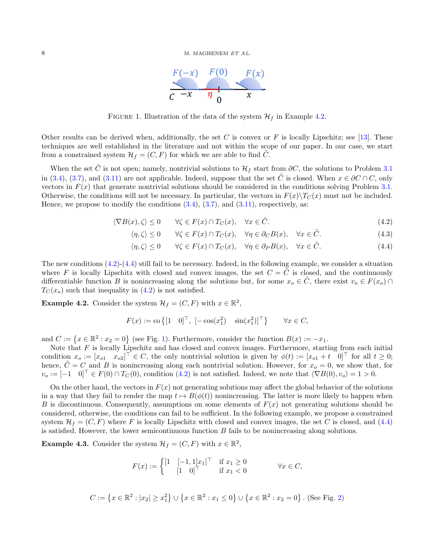

<span id="page-7-4"></span>FIGURE 1. Illustration of the data of the system  $\mathcal{H}_f$  in Example [4.2.](#page-7-0)

Other results can be derived when, additionally, the set C is convex or F is locally Lipschitz; see [\[13\]](#page-21-12). These techniques are well established in the literature and not within the scope of our paper. In our case, we start from a constrained system  $\mathcal{H}_f = (C, F)$  for which we are able to find C.

When the set  $\tilde{C}$  is not open; namely, nontrivial solutions to  $\mathcal{H}_f$  start from  $\partial C$ , the solutions to Problem [3.1](#page-4-1) in [\(3.4\)](#page-5-2), [\(3.7\)](#page-5-1), and [\(3.11\)](#page-6-2) are not applicable. Indeed, suppose that the set  $\tilde{C}$  is closed. When  $x \in \partial C \cap C$ , only vectors in  $F(x)$  that generate nontrivial solutions should be considered in the conditions solving Problem [3.1.](#page-4-1) Otherwise, the conditions will not be necessary. In particular, the vectors in  $F(x)\T_{C}(x)$  must not be included. Hence, we propose to modify the conditions  $(3.4)$ ,  $(3.7)$ , and  $(3.11)$ , respectively, as:

$$
\langle \nabla B(x), \zeta \rangle \le 0 \qquad \forall \zeta \in F(x) \cap T_C(x), \quad \forall x \in \tilde{C}.
$$
\n
$$
(4.2)
$$

$$
\langle \eta, \zeta \rangle \le 0 \qquad \forall \zeta \in F(x) \cap T_C(x), \quad \forall \eta \in \partial_C B(x), \quad \forall x \in \tilde{C}.
$$
 (4.3)

<span id="page-7-3"></span><span id="page-7-2"></span>
$$
\langle \eta, \zeta \rangle \le 0 \qquad \forall \zeta \in F(x) \cap T_C(x), \quad \forall \eta \in \partial_P B(x), \quad \forall x \in \tilde{C}.
$$
 (4.4)

The new conditions  $(4.2)-(4.4)$  $(4.2)-(4.4)$  $(4.2)-(4.4)$  still fail to be necessary. Indeed, in the following example, we consider a situation where F is locally Lipschitz with closed and convex images, the set  $C = \tilde{C}$  is closed, and the continuously differentiable function B is nonincreasing along the solutions but, for some  $x_o \in \tilde{C}$ , there exist  $v_o \in F(x_o) \cap$  $T_{\mathcal{C}}(x_o)$  such that inequality in [\(4.2\)](#page-7-2) is not satisfied.

<span id="page-7-0"></span>**Example 4.2.** Consider the system  $\mathcal{H}_f = (C, F)$  with  $x \in \mathbb{R}^2$ ,

$$
F(x) := \text{co}\left\{ \begin{bmatrix} 1 & 0 \end{bmatrix}^\top, \begin{bmatrix} -\cos(x_1^2) & \sin(x_1^2) \end{bmatrix}^\top \right\} \qquad \forall x \in C,
$$

and  $C := \{x \in \mathbb{R}^2 : x_2 = 0\}$  (see Fig. [1\)](#page-7-4). Furthermore, consider the function  $B(x) := -x_1$ .

Note that F is locally Lipschitz and has closed and convex images. Furthermore, starting from each initial condition  $x_o := [x_{o1} \quad x_{o2}]^\top \in C$ , the only nontrivial solution is given by  $\phi(t) := [x_{o1} + t \quad 0]^\top$  for all  $t \geq 0$ ; hence,  $\tilde{C} = C$  and B is nonincreasing along each nontrivial solution. However, for  $x_o = 0$ , we show that, for  $v_o := [-1 \quad 0]^\top \in F(0) \cap T_C(0)$ , condition [\(4.2\)](#page-7-2) is not satisfied. Indeed, we note that  $\langle \nabla B(0), v_o \rangle = 1 > 0$ .

On the other hand, the vectors in  $F(x)$  not generating solutions may affect the global behavior of the solutions in a way that they fail to render the map  $t \mapsto B(\phi(t))$  nonincreasing. The latter is more likely to happen when B is discontinuous. Consequently, assumptions on some elements of  $F(x)$  not generating solutions should be considered, otherwise, the conditions can fail to be sufficient. In the following example, we propose a constrained system  $\mathcal{H}_f = (C, F)$  where F is locally Lipschitz with closed and convex images, the set C is closed, and [\(4.4\)](#page-7-3) is satisfied. However, the lower semicontinuous function  $B$  fails to be nonincreasing along solutions.

<span id="page-7-1"></span>**Example 4.3.** Consider the system  $\mathcal{H}_f = (C, F)$  with  $x \in \mathbb{R}^2$ ,

$$
F(x) := \begin{cases} \begin{bmatrix} 1 & \begin{bmatrix} -1, 1 \end{bmatrix} x_1 \end{bmatrix}^\top & \text{if } x_1 \ge 0 \\ \begin{bmatrix} 1 & 0 \end{bmatrix}^\top & \text{if } x_1 < 0 \end{bmatrix} \qquad \forall x \in C,
$$

$$
C := \left\{ x \in \mathbb{R}^2 : |x_2| \ge x_1^2 \right\} \cup \left\{ x \in \mathbb{R}^2 : x_1 \le 0 \right\} \cup \left\{ x \in \mathbb{R}^2 : x_2 = 0 \right\}.
$$
 (See Fig. 2)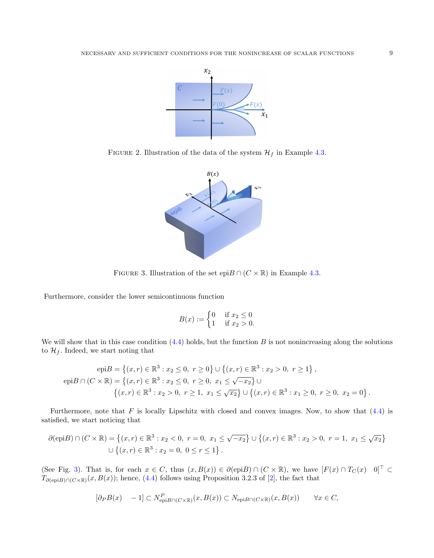

FIGURE 2. Illustration of the data of the system  $\mathcal{H}_f$  in Example [4.3.](#page-7-1)

<span id="page-8-0"></span>

<span id="page-8-1"></span>FIGURE 3. Illustration of the set epi $B \cap (C \times \mathbb{R})$  in Example [4.3.](#page-7-1)

Furthermore, consider the lower semicontinuous function

$$
B(x) := \begin{cases} 0 & \text{if } x_2 \le 0 \\ 1 & \text{if } x_2 > 0. \end{cases}
$$

We will show that in this case condition  $(4.4)$  holds, but the function B is not nonincreasing along the solutions to  $\mathcal{H}_f$ . Indeed, we start noting that

$$
\text{epi}B = \left\{ (x, r) \in \mathbb{R}^3 : x_2 \le 0, \ r \ge 0 \right\} \cup \left\{ (x, r) \in \mathbb{R}^3 : x_2 > 0, \ r \ge 1 \right\},
$$
\n
$$
\text{epi}B \cap (C \times \mathbb{R}) = \left\{ (x, r) \in \mathbb{R}^3 : x_2 \le 0, \ r \ge 0, \ x_1 \le \sqrt{-x_2} \right\} \cup \left\{ (x, r) \in \mathbb{R}^3 : x_2 > 0, \ r \ge 1, \ x_1 \le \sqrt{x_2} \right\} \cup \left\{ (x, r) \in \mathbb{R}^3 : x_1 \ge 0, \ r \ge 0, \ x_2 = 0 \right\}.
$$

Furthermore, note that  $F$  is locally Lipschitz with closed and convex images. Now, to show that  $(4.4)$  is satisfied, we start noticing that

$$
\partial(\text{epi}B) \cap (C \times \mathbb{R}) = \left\{ (x, r) \in \mathbb{R}^3 : x_2 < 0, \ r = 0, \ x_1 \le \sqrt{-x_2} \right\} \cup \left\{ (x, r) \in \mathbb{R}^3 : x_2 > 0, \ r = 1, \ x_1 \le \sqrt{x_2} \right\}
$$
\n
$$
\cup \left\{ (x, r) \in \mathbb{R}^3 : x_2 = 0, \ 0 \le r \le 1 \right\}.
$$

(See Fig. [3\)](#page-8-1). That is, for each  $x \in C$ , thus  $(x, B(x)) \in \partial(\text{epi}B) \cap (C \times \mathbb{R})$ , we have  $[F(x) \cap T_C(x) \cap \mathbb{C}]^{\top} \subset$  $T_{\partial(\text{epi}B)\cap(C\times\mathbb{R})}(x, B(x))$ ; hence, [\(4.4\)](#page-7-3) follows using Proposition 3.2.3 of [\[2\]](#page-21-17), the fact that

$$
[\partial_P B(x) - 1] \subset N_{\text{epi}B \cap (C \times \mathbb{R})}^P(x, B(x)) \subset N_{\text{epi}B \cap (C \times \mathbb{R})}(x, B(x)) \quad \forall x \in C,
$$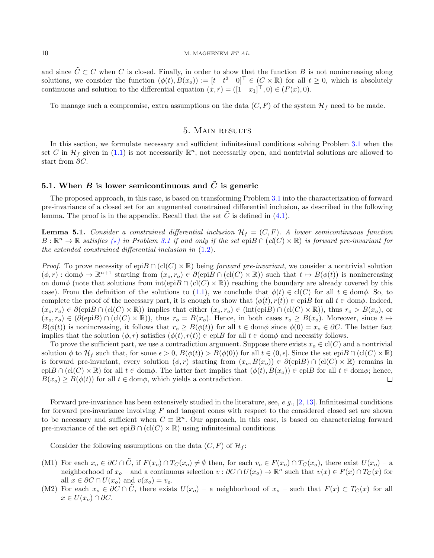and since  $\tilde{C} \subset C$  when C is closed. Finally, in order to show that the function B is not nonincreasing along solutions, we consider the function  $(\phi(t), B(x_o)) := [t \quad t^2 \quad 0]^\top \in (C \times \mathbb{R})$  for all  $t \geq 0$ , which is absolutely continuous and solution to the differential equation  $(\dot{x}, \dot{r}) = ([1 \quad x_1]^\top, 0) \in (F(x), 0)$ .

To manage such a compromise, extra assumptions on the data  $(C, F)$  of the system  $\mathcal{H}_f$  need to be made.

### 5. Main results

In this section, we formulate necessary and sufficient infinitesimal conditions solving Problem [3.1](#page-4-1) when the set C in  $\mathcal{H}_f$  given in [\(1.1\)](#page-1-0) is not necessarily  $\mathbb{R}^n$ , not necessarily open, and nontrivial solutions are allowed to start from ∂C.

### 5.1. When B is lower semicontinuous and  $\tilde{C}$  is generic

The proposed approach, in this case, is based on transforming Problem [3.1](#page-4-1) into the characterization of forward pre-invariance of a closed set for an augmented constrained differential inclusion, as described in the following lemma. The proof is in the appendix. Recall that the set  $\tilde{C}$  is defined in [\(4.1\)](#page-6-3).

<span id="page-9-2"></span>**Lemma 5.1.** Consider a constrained differential inclusion  $\mathcal{H}_f = (C, F)$ . A lower semicontinuous function  $B:\mathbb{R}^n\to\mathbb{R}$  satisfies  $\overline{(*)}$  in Problem [3.1](#page-4-1) if and only if the set  $epiB \cap (cl(C) \times \mathbb{R})$  is forward pre-invariant for the extended constrained differential inclusion in [\(1.2\)](#page-2-0).

*Proof.* To prove necessity of epi $B \cap (cl(C) \times \mathbb{R})$  being forward pre-invariant, we consider a nontrivial solution  $(\phi, r) : \text{dom}\phi \to \mathbb{R}^{n+1}$  starting from  $(x_o, r_o) \in \partial(\text{epi}B \cap (\text{cl}(C) \times \mathbb{R}))$  such that  $t \mapsto B(\phi(t))$  is nonincreasing on dom $\phi$  (note that solutions from  $\text{int}(\text{epi}B \cap (\text{cl}(C) \times \mathbb{R}))$ ) reaching the boundary are already covered by this case). From the definition of the solutions to [\(1.1\)](#page-1-0), we conclude that  $\phi(t) \in \text{cl}(C)$  for all  $t \in \text{dom}\phi$ . So, to complete the proof of the necessary part, it is enough to show that  $(\phi(t), r(t)) \in$  epiB for all  $t \in$  dom $\phi$ . Indeed,  $(x_o, r_o) \in \partial(\text{epi}B \cap (\text{cl}(C) \times \mathbb{R}))$  implies that either  $(x_o, r_o) \in (\text{int}(\text{epi}B) \cap (\text{cl}(C) \times \mathbb{R}))$ , thus  $r_o > B(x_o)$ , or  $(x_o, r_o) \in (\partial(\text{epi}B) \cap (\text{cl}(C) \times \mathbb{R}))$ , thus  $r_o = B(x_o)$ . Hence, in both cases  $r_o \geq B(x_o)$ . Moreover, since  $t \mapsto$  $B(\phi(t))$  is nonincreasing, it follows that  $r_o \geq B(\phi(t))$  for all  $t \in \text{dom}\phi$  since  $\phi(0) = x_o \in \partial C$ . The latter fact implies that the solution  $(\phi, r)$  satisfies  $(\phi(t), r(t)) \in \text{epi}B$  for all  $t \in \text{dom}\phi$  and necessity follows.

To prove the sufficient part, we use a contradiction argument. Suppose there exists  $x_o \in \text{cl}(C)$  and a nontrivial solution  $\phi$  to  $\mathcal{H}_f$  such that, for some  $\epsilon > 0$ ,  $B(\phi(t)) > B(\phi(0))$  for all  $t \in (0, \epsilon]$ . Since the set epi $B \cap (cl(C) \times \mathbb{R})$ is forward pre-invariant, every solution  $(\phi, r)$  starting from  $(x_o, B(x_o)) \in \partial(\text{epi}B) \cap (\text{cl}(C) \times \mathbb{R})$  remains in  $epiB \cap (cl(C) \times \mathbb{R})$  for all  $t \in dom\phi$ . The latter fact implies that  $(\phi(t), B(x_o)) \in epiB$  for all  $t \in dom\phi$ ; hence,  $B(x_o) \geq B(\phi(t))$  for all  $t \in \text{dom}\phi$ , which yields a contradiction.  $\Box$ 

Forward pre-invariance has been extensively studied in the literature, see, e.g., [\[2,](#page-21-17) [13\]](#page-21-12). Infinitesimal conditions for forward pre-invariance involving F and tangent cones with respect to the considered closed set are shown to be necessary and sufficient when  $C \equiv \mathbb{R}^n$ . Our approach, in this case, is based on characterizing forward pre-invariance of the set epi $B \cap (cl(C) \times \mathbb{R})$  using infinitesimal conditions.

Consider the following assumptions on the data  $(C, F)$  of  $\mathcal{H}_f$ :

- <span id="page-9-0"></span>(M1) For each  $x_o \in \partial C \cap C$ , if  $F(x_o) \cap T_C(x_o) \neq \emptyset$  then, for each  $v_o \in F(x_o) \cap T_C(x_o)$ , there exist  $U(x_o) - a$ neighborhood of  $x_o$  – and a continuous selection  $v : \partial C \cap U(x_o) \to \mathbb{R}^n$  such that  $v(x) \in F(x) \cap T_C(x)$  for all  $x \in \partial C \cap U(x_o)$  and  $v(x_o) = v_o$ .
- <span id="page-9-1"></span>(M2) For each  $x_o \in \partial C \cap C$ , there exists  $U(x_o)$  – a neighborhood of  $x_o$  – such that  $F(x) \subset T_C(x)$  for all  $x \in U(x_o) \cap \partial C.$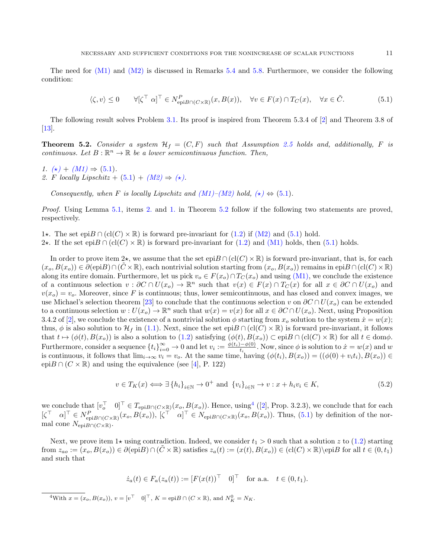The need for  $(M1)$  and  $(M2)$  is discussed in Remarks [5.4](#page-12-0) and [5.8.](#page-13-0) Furthermore, we consider the following condition:

<span id="page-10-0"></span>
$$
\langle \zeta, v \rangle \le 0 \qquad \forall [\zeta^\top \ \alpha]^\top \in N_{\text{epi}B \cap (C \times \mathbb{R})}^P(x, B(x)), \quad \forall v \in F(x) \cap T_C(x), \quad \forall x \in \tilde{C}.
$$

The following result solves Problem [3.1.](#page-4-1) Its proof is inspired from Theorem 5.3.4 of [\[2\]](#page-21-17) and Theorem 3.8 of [\[13\]](#page-21-12).

<span id="page-10-3"></span>**Theorem 5.2.** Consider a system  $H_f = (C, F)$  such that Assumption [2.5](#page-3-2) holds and, additionally, F is continuous. Let  $B: \mathbb{R}^n \to \mathbb{R}$  be a lower semicontinuous function. Then,

<span id="page-10-2"></span><span id="page-10-1"></span>1.  $(\star) + (M1) \Rightarrow (5.1)$  $(\star) + (M1) \Rightarrow (5.1)$  $(\star) + (M1) \Rightarrow (5.1)$  $(\star) + (M1) \Rightarrow (5.1)$ . 2. F locally Lipschitz +  $(5.1) + (M2) \Rightarrow (\star)$  $(5.1) + (M2) \Rightarrow (\star)$  $(5.1) + (M2) \Rightarrow (\star)$  $(5.1) + (M2) \Rightarrow (\star)$ .

Consequently, when F is locally Lipschitz and  $(M1)$ – $(M2)$  hold,  $(\star) \Leftrightarrow (5.1)$  $(\star) \Leftrightarrow (5.1)$ .

Proof. Using Lemma [5.1,](#page-9-2) items [2.](#page-10-1) and [1.](#page-10-2) in Theorem [5.2](#page-10-3) follow if the following two statements are proved, respectively.

- 1★. The set epi $B \cap (cl(C) \times \mathbb{R})$  is forward pre-invariant for [\(1.2\)](#page-2-0) if [\(M2\)](#page-9-1) and [\(5.1\)](#page-10-0) hold.
- 2★. If the set epi $B \cap (cl(C) \times \mathbb{R})$  is forward pre-invariant for [\(1.2\)](#page-2-0) and [\(M1\)](#page-9-0) holds, then [\(5.1\)](#page-10-0) holds.

In order to prove item  $2\star$ , we assume that the set  $epiB \cap (cl(C) \times \mathbb{R})$  is forward pre-invariant, that is, for each  $(x_o, B(x_o)) \in \partial(\text{epi}B) \cap (\tilde{C} \times \mathbb{R})$ , each nontrivial solution starting from  $(x_o, B(x_o))$  remains in epi $B \cap (cl(C) \times \mathbb{R})$ along its entire domain. Furthermore, let us pick  $v_o \in F(x_o) \cap T_C(x_o)$  and using [\(M1\),](#page-9-0) we conclude the existence of a continuous selection  $v : \partial C \cap U(x_o) \to \mathbb{R}^n$  such that  $v(x) \in F(x) \cap T_C(x)$  for all  $x \in \partial C \cap U(x_o)$  and  $v(x<sub>o</sub>) = v<sub>o</sub>$ . Moreover, since F is continuous; thus, lower semicontinuous, and has closed and convex images, we use Michael's selection theorem [\[23\]](#page-21-16) to conclude that the continuous selection v on  $\partial C \cap U(x_o)$  can be extended to a continuous selection  $w: U(x_o) \to \mathbb{R}^n$  such that  $w(x) = v(x)$  for all  $x \in \partial C \cap U(x_o)$ . Next, using Proposition 3.4.2 of [\[2\]](#page-21-17), we conclude the existence of a nontrivial solution  $\phi$  starting from  $x_o$  solution to the system  $\dot{x} = w(x)$ ; thus,  $\phi$  is also solution to  $\mathcal{H}_f$  in [\(1.1\)](#page-1-0). Next, since the set epi $B \cap (cl(C) \times \mathbb{R})$  is forward pre-invariant, it follows that  $t \mapsto (\phi(t), B(x_o))$  is also a solution to  $(1.2)$  satisfying  $(\phi(t), B(x_o)) \subset \text{epi}B \cap (\text{cl}(C) \times \mathbb{R})$  for all  $t \in \text{dom}\phi$ . Furthermore, consider a sequence  $\{t_i\}_{i=0}^{\infty} \to 0$  and let  $v_i := \frac{\phi(t_i) - \phi(0)}{t_i}$  $\psi_{t_i}^{(w)}$ . Now, since  $\phi$  is solution to  $\dot{x} = w(x)$  and w is continuous, it follows that  $\lim_{i\to\infty}v_i=v_o$ . At the same time, having  $(\phi(t_i), B(x_o)) = ((\phi(0) + v_i t_i), B(x_o)) \in$ epi $B \cap (C \times \mathbb{R})$  and using the equivalence (see [\[4\]](#page-21-1), P. 122)

<span id="page-10-5"></span>
$$
v \in T_K(x) \Longleftrightarrow \exists \{h_i\}_{i \in \mathbb{N}} \to 0^+ \text{ and } \{v_i\}_{i \in \mathbb{N}} \to v : x + h_i v_i \in K,
$$
\n
$$
(5.2)
$$

we conclude that  $[v_o^{\top} \quad 0]^{\top} \in T_{\text{epi}B \cap (C \times \mathbb{R})}(x_o, B(x_o))$ . Hence, using  $^4$  $^4$  ([\[2\]](#page-21-17), Prop. 3.2.3), we conclude that for each  $\begin{bmatrix} \zeta^{\top} & \alpha \end{bmatrix}^{\top} \in N_{\text{epi}B\cap(C\times\mathbb{R})}^P(x_o,B(x_o)), \begin{bmatrix} \zeta^{\top} & \alpha \end{bmatrix}^{\top} \in N_{\text{epi}B\cap(C\times\mathbb{R})}(x_o,B(x_o)).$  Thus, [\(5.1\)](#page-10-0) by definition of the normal cone  $N_{\text{epi}B \cap (C \times \mathbb{R})}$ .

Next, we prove item 1 $\star$  using contradiction. Indeed, we consider  $t_1 > 0$  such that a solution z to [\(1.2\)](#page-2-0) starting from  $z_{ao} := (x_o, B(x_o)) \in \partial(\text{epi}B) \cap (\tilde{C} \times \mathbb{R})$  satisfies  $z_a(t) := (x(t), B(x_o)) \in (\text{cl}(C) \times \mathbb{R}) \setminus \text{epi}B$  for all  $t \in (0, t_1)$ and such that

$$
\dot{z}_a(t) \in F_a(z_a(t)) := [F(x(t))^\top \ 0]^\top
$$
 for a.a.  $t \in (0, t_1)$ .

<span id="page-10-4"></span><sup>4</sup>With  $x = (x_o, B(x_o))$ ,  $v = [v^\top \quad 0]^\top$ ,  $K = \text{epi}B \cap (C \times \mathbb{R})$ , and  $N_K^0 = N_K$ .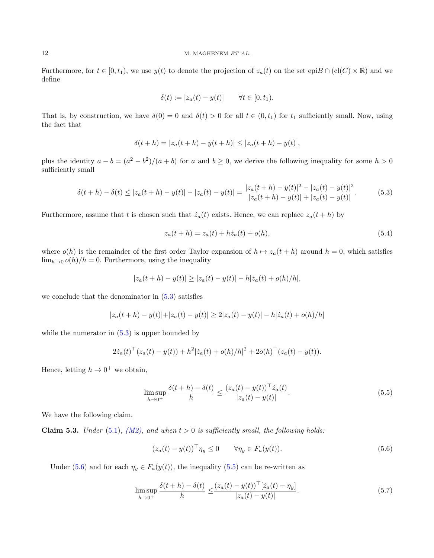Furthermore, for  $t \in [0, t_1)$ , we use  $y(t)$  to denote the projection of  $z_a(t)$  on the set epi $B \cap (cl(C) \times \mathbb{R})$  and we define

$$
\delta(t) := |z_a(t) - y(t)| \qquad \forall t \in [0, t_1).
$$

That is, by construction, we have  $\delta(0) = 0$  and  $\delta(t) > 0$  for all  $t \in (0, t_1)$  for  $t_1$  sufficiently small. Now, using the fact that

$$
\delta(t+h) = |z_a(t+h) - y(t+h)| \le |z_a(t+h) - y(t)|,
$$

plus the identity  $a - b = (a^2 - b^2)/(a + b)$  for a and  $b \ge 0$ , we derive the following inequality for some  $h > 0$ sufficiently small

$$
\delta(t+h) - \delta(t) \le |z_a(t+h) - y(t)| - |z_a(t) - y(t)| = \frac{|z_a(t+h) - y(t)|^2 - |z_a(t) - y(t)|^2}{|z_a(t+h) - y(t)| + |z_a(t) - y(t)|}.
$$
(5.3)

Furthermore, assume that t is chosen such that  $\dot{z}_a(t)$  exists. Hence, we can replace  $z_a(t+h)$  by

<span id="page-11-0"></span>
$$
z_a(t+h) = z_a(t) + h\dot{z}_a(t) + o(h),
$$
\n(5.4)

where  $o(h)$  is the remainder of the first order Taylor expansion of  $h \mapsto z_a(t+h)$  around  $h = 0$ , which satisfies  $\lim_{h\to 0} o(h)/h = 0$ . Furthermore, using the inequality

$$
|z_a(t+h) - y(t)| \ge |z_a(t) - y(t)| - h|\dot{z}_a(t) + o(h)/h|,
$$

we conclude that the denominator in  $(5.3)$  satisfies

$$
|z_a(t+h) - y(t)| + |z_a(t) - y(t)| \ge 2|z_a(t) - y(t)| - h|\dot{z}_a(t) + o(h)/h|
$$

while the numerator in  $(5.3)$  is upper bounded by

$$
2\dot{z}_a(t)^\top (z_a(t) - y(t)) + h^2 |\dot{z}_a(t) + o(h)/h|^2 + 2o(h)^\top (z_a(t) - y(t)).
$$

Hence, letting  $h \to 0^+$  we obtain,

$$
\limsup_{h \to 0^+} \frac{\delta(t+h) - \delta(t)}{h} \le \frac{(z_a(t) - y(t))^{\top} \dot{z}_a(t)}{|z_a(t) - y(t)|}.
$$
\n(5.5)

We have the following claim.

<span id="page-11-4"></span>Claim 5.3. Under [\(5.1\)](#page-10-0), [\(M2\),](#page-9-1) and when  $t > 0$  is sufficiently small, the following holds:

<span id="page-11-3"></span><span id="page-11-2"></span><span id="page-11-1"></span>
$$
(z_a(t) - y(t))^\top \eta_y \le 0 \qquad \forall \eta_y \in F_a(y(t)). \tag{5.6}
$$

Under [\(5.6\)](#page-11-1) and for each  $\eta_y \in F_a(y(t))$ , the inequality [\(5.5\)](#page-11-2) can be re-written as

$$
\limsup_{h \to 0^+} \frac{\delta(t+h) - \delta(t)}{h} \le \frac{(z_a(t) - y(t))^{\top} [z_a(t) - \eta_y]}{|z_a(t) - y(t)|}.
$$
\n(5.7)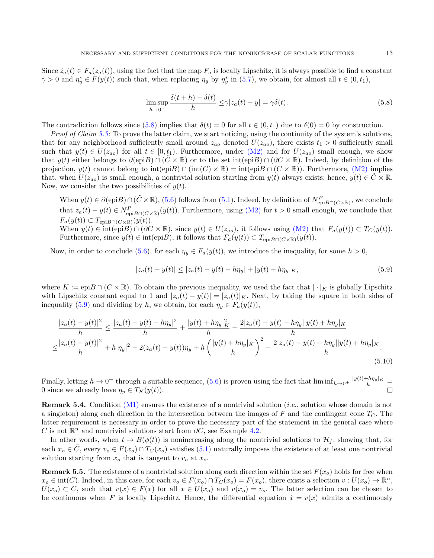Since  $\dot{z}_a(t) \in F_a(z_a(t))$ , using the fact that the map  $F_a$  is locally Lipschitz, it is always possible to find a constant  $\gamma > 0$  and  $\eta_y^* \in F(y(t))$  such that, when replacing  $\eta_y$  by  $\eta_y^*$  in [\(5.7\)](#page-11-3), we obtain, for almost all  $t \in (0, t_1)$ ,

<span id="page-12-1"></span>
$$
\limsup_{h \to 0^+} \frac{\delta(t+h) - \delta(t)}{h} \le \gamma |z_a(t) - y| = \gamma \delta(t). \tag{5.8}
$$

The contradiction follows since [\(5.8\)](#page-12-1) implies that  $\delta(t) = 0$  for all  $t \in (0, t_1)$  due to  $\delta(0) = 0$  by construction.

*Proof of Claim [5.3:](#page-11-4)* To prove the latter claim, we start noticing, using the continuity of the system's solutions, that for any neighborhood sufficiently small around  $z_{ao}$  denoted  $U(z_{ao})$ , there exists  $t_1 > 0$  sufficiently small such that  $y(t) \in U(z_{ao})$  for all  $t \in [0, t_1)$ . Furthermore, under  $(M2)$  and for  $U(z_{ao})$  small enough, we show that  $y(t)$  either belongs to  $\partial(\text{epi}B) \cap (\tilde{C} \times \mathbb{R})$  or to the set int(epiB)  $\cap (\partial C \times \mathbb{R})$ . Indeed, by definition of the projection,  $y(t)$  cannot belong to int(epiB) ∩ (int(C)  $\times \mathbb{R}$ ) = int(epiB ∩ (C  $\times \mathbb{R}$ )). Furthermore, [\(M2\)](#page-9-1) implies that, when  $U(z_{aa})$  is small enough, a nontrivial solution starting from  $y(t)$  always exists; hence,  $y(t) \in C \times \mathbb{R}$ . Now, we consider the two possibilities of  $y(t)$ .

- $-$  When  $y(t) \in \partial(\text{epi}B) \cap (\tilde{C} \times \mathbb{R})$ , [\(5.6\)](#page-11-1) follows from [\(5.1\)](#page-10-0). Indeed, by definition of  $N_{\text{epi}B}^P \cap (C \times \mathbb{R})$ , we conclude that  $z_a(t) - y(t) \in N_{\text{epi}B \cap (C \times \mathbb{R})}^P(y(t))$ . Furthermore, using [\(M2\)](#page-9-1) for  $t > 0$  small enough, we conclude that  $F_a(y(t)) \subset T_{\text{epi}B \cap (C \times \mathbb{R})}(y(t)).$
- When  $y(t) \in \text{int}(\text{epi}B) \cap (\partial C \times \mathbb{R})$ , since  $y(t) \in U(z_{ao})$ , it follows using  $(M2)$  that  $F_a(y(t)) \subset T_C(y(t))$ . Furthermore, since  $y(t) \in \text{int}(\text{epi}B)$ , it follows that  $F_a(y(t)) \subset T_{\text{epi}B \cap (C \times \mathbb{R})}(y(t))$ .

Now, in order to conclude [\(5.6\)](#page-11-1), for each  $\eta_y \in F_a(y(t))$ , we introduce the inequality, for some  $h > 0$ ,

<span id="page-12-2"></span>
$$
|z_a(t) - y(t)| \le |z_a(t) - y(t) - h\eta_y| + |y(t) + h\eta_y|_K,
$$
\n(5.9)

where  $K := \text{epi}B \cap (C \times \mathbb{R})$ . To obtain the previous inequality, we used the fact that  $|\cdot|_K$  is globally Lipschitz with Lipschitz constant equal to 1 and  $|z_a(t) - y(t)| = |z_a(t)|_K$ . Next, by taking the square in both sides of inequality [\(5.9\)](#page-12-2) and dividing by h, we obtain, for each  $\eta_y \in F_a(y(t))$ ,

$$
\frac{|z_a(t) - y(t)|^2}{h} \le \frac{|z_a(t) - y(t) - h\eta_y|^2}{h} + \frac{|y(t) + h\eta_y|_K^2}{h} + \frac{2|z_a(t) - y(t) - h\eta_y||y(t) + h\eta_y|_K}{h}
$$

$$
\le \frac{|z_a(t) - y(t)|^2}{h} + h|\eta_y|^2 - 2(z_a(t) - y(t))\eta_y + h\left(\frac{|y(t) + h\eta_y|_K}{h}\right)^2 + \frac{2|z_a(t) - y(t) - h\eta_y||y(t) + h\eta_y|_K}{h}.
$$
(5.10)

Finally, letting  $h \to 0^+$  through a suitable sequence, [\(5.6\)](#page-11-1) is proven using the fact that  $\liminf_{h \to 0^+} \frac{|y(t) + h\eta_y|_K}{h} =$ 0 since we already have  $\eta_y \in T_K(y(t))$ .

<span id="page-12-0"></span>Remark 5.4. Condition [\(M1\)](#page-9-0) ensures the existence of a nontrivial solution (i.e., solution whose domain is not a singleton) along each direction in the intersection between the images of F and the contingent cone  $T<sub>C</sub>$ . The latter requirement is necessary in order to prove the necessary part of the statement in the general case where C is not  $\mathbb{R}^n$  and nontrivial solutions start from  $\partial C$ , see Example [4.2.](#page-7-0)

In other words, when  $t \mapsto B(\phi(t))$  is nonincreasing along the nontrivial solutions to  $\mathcal{H}_f$ , showing that, for each  $x_o \in \tilde{C}$ , every  $v_o \in F(x_o) \cap T_C(x_o)$  satisfies [\(5.1\)](#page-10-0) naturally imposes the existence of at least one nontrivial solution starting from  $x_o$  that is tangent to  $v_o$  at  $x_o$ .

<span id="page-12-3"></span>**Remark 5.5.** The existence of a nontrivial solution along each direction within the set  $F(x_0)$  holds for free when  $x_o \in \text{int}(C)$ . Indeed, in this case, for each  $v_o \in F(x_o) \cap T_C(x_o) = F(x_o)$ , there exists a selection  $v : U(x_o) \to \mathbb{R}^n$ ,  $U(x_o) \subset C$ , such that  $v(x) \in F(x)$  for all  $x \in U(x_o)$  and  $v(x_o) = v_o$ . The latter selection can be chosen to be continuous when F is locally Lipschitz. Hence, the differential equation  $\dot{x} = v(x)$  admits a continuously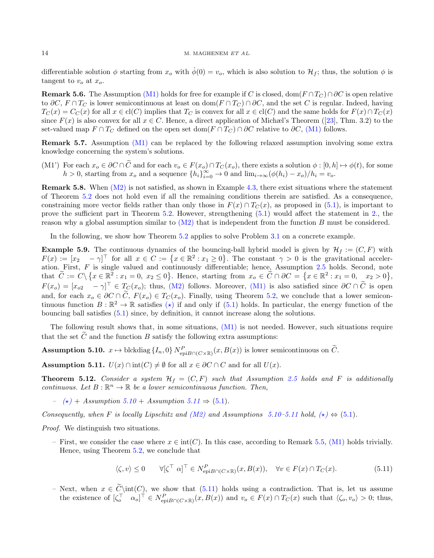differentiable solution  $\phi$  starting from  $x_0$  with  $\dot{\phi}(0) = v_0$ , which is also solution to  $\mathcal{H}_f$ ; thus, the solution  $\phi$  is tangent to  $v_o$  at  $x_o$ .

**Remark 5.6.** The Assumption [\(M1\)](#page-9-0) holds for free for example if C is closed, dom( $F \cap T_C \cap \partial C$  is open relative to  $\partial C$ ,  $F \cap T_C$  is lower semicontinuous at least on dom( $F \cap T_C \cap \partial C$ , and the set C is regular. Indeed, having  $T_C(x) = C_C(x)$  for all  $x \in \text{cl}(C)$  implies that  $T_C$  is convex for all  $x \in \text{cl}(C)$  and the same holds for  $F(x) \cap T_C(x)$ since  $F(x)$  is also convex for all  $x \in C$ . Hence, a direct application of Michæl's Theorem ([\[23\]](#page-21-16), Thm. 3.2) to the set-valued map  $F \cap T_C$  defined on the open set dom $(F \cap T_C) \cap \partial C$  relative to  $\partial C$ , [\(M1\)](#page-9-0) follows.

Remark 5.7. Assumption [\(M1\)](#page-9-0) can be replaced by the following relaxed assumption involving some extra knowledge concerning the system's solutions.

(M1') For each  $x_o \in \partial C \cap C$  and for each  $v_o \in F(x_o) \cap T_C(x_o)$ , there exists a solution  $\phi : [0, h] \mapsto \phi(t)$ , for some  $h > 0$ , starting from  $x_o$  and a sequence  $\{h_i\}_{i=0}^{\infty} \to 0$  and  $\lim_{i \to \infty} (\phi(h_i) - x_o)/h_i = v_o$ .

<span id="page-13-0"></span>**Remark 5.8.** When  $(M2)$  is not satisfied, as shown in Example [4.3,](#page-7-1) there exist situations where the statement of Theorem [5.2](#page-10-3) does not hold even if all the remaining conditions therein are satisfied. As a consequence, constraining more vector fields rather than only those in  $F(x) \cap T_C(x)$ , as proposed in [\(5.1\)](#page-10-0), is important to prove the sufficient part in Theorem [5.2.](#page-10-3) However, strengthening  $(5.1)$  would affect the statement in [2.,](#page-10-1) the reason why a global assumption similar to  $(M2)$  that is independent from the function B must be considered.

In the following, we show how Theorem [5.2](#page-10-3) applies to solve Problem [3.1](#page-4-1) on a concrete example.

**Example 5.9.** The continuous dynamics of the bouncing-ball hybrid model is given by  $\mathcal{H}_f := (C, F)$  with  $F(x) := [x_2 \quad -\gamma]^\top$  for all  $x \in C := \{x \in \mathbb{R}^2 : x_1 \ge 0\}$ . The constant  $\gamma > 0$  is the gravitational acceler-ation. First, F is single valued and continuously differentiable; hence, Assumption [2.5](#page-3-2) holds. Second, note that  $\widetilde{C} := C \setminus \{x \in \mathbb{R}^2 : x_1 = 0, x_2 \le 0\}$ . Hence, starting from  $x_o \in \widetilde{C} \cap \partial C = \{x \in \mathbb{R}^2 : x_1 = 0, x_2 > 0\}$ ,  $F(x_o) = \begin{bmatrix} x_{o2} & -\gamma \end{bmatrix}^\top \in T_C(x_o)$ ; thus, [\(M2\)](#page-9-1) follows. Moreover, [\(M1\)](#page-9-0) is also satisfied since  $\partial C \cap C$  is open and, for each  $x_o \in \partial C \cap \tilde{C}$ ,  $F(x_o) \in T_C(x_o)$ . Finally, using Theorem [5.2,](#page-10-3) we conclude that a lower semicontinuous function  $B: \mathbb{R}^2 \to \mathbb{R}$  satisfies  $(\star)$  if and only if  $(5.1)$  holds. In particular, the energy function of the bouncing ball satisfies [\(5.1\)](#page-10-0) since, by definition, it cannot increase along the solutions.

The following result shows that, in some situations, [\(M1\)](#page-9-0) is not needed. However, such situations require that the set  $\tilde{C}$  and the function B satisfy the following extra assumptions:

<span id="page-13-1"></span>Assumption 5.10.  $x \mapsto \text{blkdiag}\{I_n, 0\} N_{\text{epi}B \cap (C \times \mathbb{R})}^P(x, B(x))$  is lower semicontinuous on  $\tilde{C}$ .

<span id="page-13-2"></span>Assumption 5.11.  $U(x) \cap \text{int}(C) \neq \emptyset$  for all  $x \in \partial C \cap C$  and for all  $U(x)$ .

<span id="page-13-4"></span>**Theorem 5.12.** Consider a system  $\mathcal{H}_f = (C, F)$  such that Assumption [2.5](#page-3-2) holds and F is additionally continuous. Let  $B: \mathbb{R}^n \to \mathbb{R}$  be a lower semicontinuous function. Then,

– (★) + Assumption  $5.10$  + Assumption  $5.11$   $\Rightarrow$  [\(5.1\)](#page-10-0).

Consequently, when F is locally Lipschitz and [\(M2\)](#page-9-1) and Assumptions [5.10–](#page-13-1)[5.11](#page-13-2) hold,  $(\star) \Leftrightarrow (5.1)$  $(\star) \Leftrightarrow (5.1)$ .

Proof. We distinguish two situations.

– First, we consider the case where  $x \in \text{int}(C)$ . In this case, according to Remark [5.5,](#page-12-3) [\(M1\)](#page-9-0) holds trivially. Hence, using Theorem [5.2,](#page-10-3) we conclude that

<span id="page-13-3"></span>
$$
\langle \zeta, v \rangle \le 0 \qquad \forall [\zeta^\top \ \alpha]^\top \in N^P_{\text{epi}B \cap (C \times \mathbb{R})}(x, B(x)), \quad \forall v \in F(x) \cap T_C(x). \tag{5.11}
$$

- Next, when  $x \in C\int C$ , we show that [\(5.11\)](#page-13-3) holds using a contradiction. That is, let us assume the existence of  $\left[\zeta_0^\top \alpha_0\right]^\top \in N_{\text{epi}B \cap (C \times \mathbb{R})}^P(x, B(x))$  and  $v_0 \in F(x) \cap T_C(x)$  such that  $\langle \zeta_0, v_0 \rangle > 0$ ; thu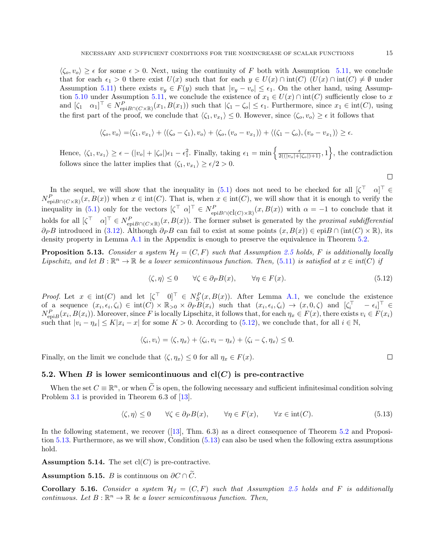$\langle \zeta_o, v_o \rangle \geq \epsilon$  for some  $\epsilon > 0$ . Next, using the continuity of F both with Assumption [5.11,](#page-13-2) we conclude that for each  $\epsilon_1 > 0$  there exist  $U(x)$  such that for each  $y \in U(x) \cap int(C)$   $(U(x) \cap int(C) \neq \emptyset$  under Assumption [5.11\)](#page-13-2) there exists  $v_y \in F(y)$  such that  $|v_y - v_o| \le \epsilon_1$ . On the other hand, using Assump-tion [5.10](#page-13-1) under Assumption [5.11,](#page-13-2) we conclude the existence of  $x_1 \in U(x) \cap \text{int}(C)$  sufficiently close to x and  $[\zeta_1 \quad \alpha_1]^\top \in N^P_{\text{epi}B \cap (C \times \mathbb{R})}(x_1, B(x_1))$  such that  $|\zeta_1 - \zeta_0| \le \epsilon_1$ . Furthermore, since  $x_1 \in \text{int}(C)$ , using the first part of the proof, we conclude that  $\langle \zeta_1, v_{x_1} \rangle \leq 0$ . However, since  $\langle \zeta_o, v_o \rangle \geq \epsilon$  it follows that

$$
\langle \zeta_o, v_o \rangle = \langle \zeta_1, v_{x_1} \rangle + \langle (\zeta_o - \zeta_1), v_o \rangle + \langle \zeta_o, (v_o - v_{x_1}) \rangle + \langle (\zeta_1 - \zeta_o), (v_o - v_{x_1}) \rangle \ge \epsilon.
$$

Hence,  $\langle \zeta_1, v_{x_1} \rangle \ge \epsilon - (|v_o| + |\zeta_o|)\epsilon_1 - \epsilon_1^2$ . Finally, taking  $\epsilon_1 = \min\left\{\frac{\epsilon}{2((|v_o| + |\zeta_o|)+1)}, 1\right\}$ , the contradiction follows since the latter implies that  $\langle \zeta_1, v_{x_1} \rangle \ge \epsilon/2 > 0$ .

In the sequel, we will show that the inequality in [\(5.1\)](#page-10-0) does not need to be checked for all  $\begin{bmatrix} \zeta^{\top} & \alpha \end{bmatrix}^{\top} \in$  $N_{\text{epi}B\cap(C\times\mathbb{R})}^P(x, B(x))$  when  $x \in \text{int}(C)$ . That is, when  $x \in \text{int}(C)$ , we will show that it is enough to verify the inequality in [\(5.1\)](#page-10-0) only for the vectors  $[\zeta^\top \ \alpha]^\top \in N_{\text{epi}B \cap (\text{cl}(C) \times \mathbb{R})}^P(x, B(x))$  with  $\alpha = -1$  to conclude that it holds for all  $[\zeta^\top \quad \alpha]^\top \in N^P_{\text{epi}B \cap (C \times \mathbb{R})}(x, B(x))$ . The former subset is generated by the proximal subdifferential  $\partial_P B$  introduced in [\(3.12\)](#page-6-4). Although  $\partial_P B$  can fail to exist at some points  $(x, B(x)) \in \text{epi}B \cap (\text{int}(C) \times \mathbb{R})$ , its density property in Lemma [A.1](#page-20-0) in the Appendix is enough to preserve the equivalence in Theorem [5.2.](#page-10-3)

<span id="page-14-1"></span>**Proposition 5.13.** Consider a system  $\mathcal{H}_f = (C, F)$  such that Assumption [2.5](#page-3-2) holds, F is additionally locally Lipschitz, and let  $B: \mathbb{R}^n \to \mathbb{R}$  be a lower semicontinuous function. Then, [\(5.11\)](#page-13-3) is satisfied at  $x \in int(C)$  if

$$
\langle \zeta, \eta \rangle \le 0 \qquad \forall \zeta \in \partial_P B(x), \qquad \forall \eta \in F(x). \tag{5.12}
$$

*Proof.* Let  $x \in \text{int}(C)$  and let  $[\zeta^\top \quad 0]^\top \in N_S^P(x, B(x))$ . After Lemma [A.1,](#page-20-0) we conclude the existence of a sequence  $(x_i, \epsilon_i, \zeta_i) \in \text{int}(C) \times \mathbb{R}_{>0} \times \partial_P B(x_i)$  such that  $(x_i, \epsilon_i, \zeta_i) \to (x, 0, \zeta)$  and  $[\zeta_i^{\top} - \epsilon_i]^{\top} \in$  $N_{\text{epi}B}^P(x_i, B(x_i))$ . Moreover, since F is locally Lipschitz, it follows that, for each  $\eta_x \in F(x)$ , there exists  $v_i \in F(x_i)$ such that  $|v_i - \eta_x| \le K|x_i - x|$  for some  $K > 0$ . According to [\(5.12\)](#page-14-0), we conclude that, for all  $i \in \mathbb{N}$ ,

$$
\langle \zeta_i, v_i \rangle = \langle \zeta, \eta_x \rangle + \langle \zeta_i, v_i - \eta_x \rangle + \langle \zeta_i - \zeta, \eta_x \rangle \leq 0.
$$

Finally, on the limit we conclude that  $\langle \zeta, \eta_x \rangle \leq 0$  for all  $\eta_x \in F(x)$ .

### 5.2. When B is lower semicontinuous and  $\text{cl}(C)$  is pre-contractive

When the set  $C \equiv \mathbb{R}^n$ , or when  $\widetilde{C}$  is open, the following necessary and sufficient infinitesimal condition solving Problem [3.1](#page-4-1) is provided in Theorem 6.3 of [\[13\]](#page-21-12).

$$
\langle \zeta, \eta \rangle \le 0 \qquad \forall \zeta \in \partial_P B(x), \qquad \forall \eta \in F(x), \qquad \forall x \in \text{int}(C). \tag{5.13}
$$

In the following statement, we recover ([\[13\]](#page-21-12), Thm. 6.3) as a direct consequence of Theorem [5.2](#page-10-3) and Proposition [5.13.](#page-14-1) Furthermore, as we will show, Condition [\(5.13\)](#page-14-2) can also be used when the following extra assumptions hold.

<span id="page-14-3"></span>**Assumption 5.14.** The set  $cl(C)$  is pre-contractive.

<span id="page-14-4"></span>Assumption 5.15. B is continuous on  $\partial C \cap \tilde{C}$ .

<span id="page-14-5"></span>**Corollary 5.16.** Consider a system  $\mathcal{H}_f = (C, F)$  such that Assumption [2.5](#page-3-2) holds and F is additionally continuous. Let  $B: \mathbb{R}^n \to \mathbb{R}$  be a lower semicontinuous function. Then,

 $\Box$ 

<span id="page-14-2"></span><span id="page-14-0"></span> $\Box$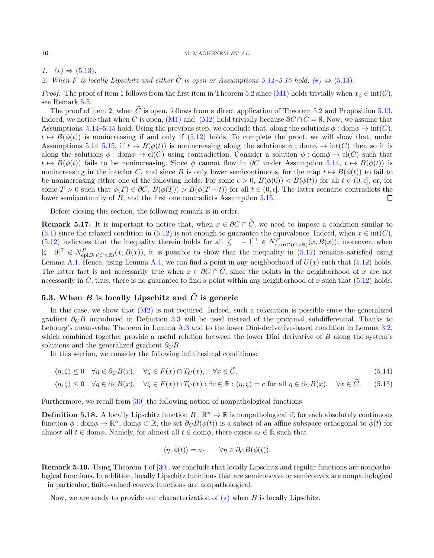1.  $(\star) \Rightarrow (5.13)$  $(\star) \Rightarrow (5.13)$ .

<span id="page-15-2"></span>2. When F is locally Lipschitz and either  $\tilde{C}$  is open or Assumptions [5.14–](#page-14-3)[5.15](#page-14-4) hold,  $(\star) \Leftrightarrow (5.13)$  $(\star) \Leftrightarrow (5.13)$ .

*Proof.* The proof of item 1 follows from the first item in Theorem [5.2](#page-10-3) since [\(M1\)](#page-9-0) holds trivially when  $x_o \in \text{int}(C)$ , see Remark [5.5.](#page-12-3)

The proof of item 2, when  $\tilde{C}$  is open, follows from a direct application of Theorem [5.2](#page-10-3) and Proposition [5.13.](#page-14-1) Indeed, we notice that when  $\tilde{C}$  is open, [\(M1\)](#page-9-0) and [\(M2\)](#page-9-1) hold trivially because  $\partial C \cap \tilde{C} = \emptyset$ . Now, we assume that Assumptions [5.14–](#page-14-3)[5.15](#page-14-4) hold. Using the previous step, we conclude that, along the solutions  $\phi$ : dom $\phi \rightarrow \text{int}(C)$ ,  $t \mapsto B(\phi(t))$  is nonincreasing if and only if [\(5.12\)](#page-14-0) holds. To complete the proof, we will show that, under Assumptions [5.14–](#page-14-3)[5.15,](#page-14-4) if  $t \mapsto B(\phi(t))$  is nonincreasing along the solutions  $\phi : \text{dom}\phi \to \text{int}(C)$  then so it is along the solutions  $\phi : \text{dom}\phi \to \text{cl}(C)$  using contradiction. Consider a solution  $\phi : \text{dom}\phi \to \text{cl}(C)$  such that  $t \mapsto B(\phi(t))$  fails to be nonincreasing. Since  $\phi$  cannot flow in ∂C under Assumption [5.14,](#page-14-3)  $t \mapsto B(\phi(t))$  is nonincreasing in the interior C, and since B is only lower semicontinuous, for the map  $t \mapsto B(\phi(t))$  to fail to be nonincreasing either one of the following holds: For some  $\epsilon > 0$ ,  $B(\phi(0)) < B(\phi(t))$  for all  $t \in (0, \epsilon]$ , or, for some  $T > 0$  such that  $\phi(T) \in \partial C$ ,  $B(\phi(T)) > B(\phi(T - t))$  for all  $t \in (0, \epsilon]$ . The latter scenario contradicts the lower semicontinuity of B, and the first one contradicts Assumption [5.15.](#page-14-4)  $\Box$ 

Before closing this section, the following remark is in order.

**Remark 5.17.** It is important to notice that, when  $x \in \partial C \cap \tilde{C}$ , we need to impose a condition similar to [\(5.1\)](#page-10-0) since the relaxed condition in [\(5.12\)](#page-14-0) is not enough to guarantee the equivalence. Indeed, when  $x \in \text{int}(C)$ , [\(5.12\)](#page-14-0) indicates that the inequality therein holds for all  $[\zeta -1]^{\top} \in N_{\text{epi}B\cap(C\times\mathbb{R})}^P(x, B(x))$ , moreover, when  $[\zeta \quad 0]^\top \in N_{\text{epi}B}^P(C\times\mathbb{R})}(x, B(x))$ , it is possible to show that the inequality in  $(5.12)$  remains satisfied using Lemma [A.1.](#page-20-0) Hence, using Lemma [A.1,](#page-20-0) we can find a point in any neighborhood of  $U(x)$  such that [\(5.12\)](#page-14-0) holds. The latter fact is not necessarily true when  $x \in \partial C \cap \tilde{C}$ , since the points in the neighborhood of x are not necessarily in  $\tilde{C}$ ; thus, there is no guarantee to find a point within any neighborhood of x such that [\(5.12\)](#page-14-0) holds.

### 5.3. When B is locally Lipschitz and  $\tilde{C}$  is generic

In this case, we show that  $(M2)$  is not required. Indeed, such a relaxation is possible since the generalized gradient  $\partial_C B$  introduced in Definition [3.3](#page-5-3) will be used instead of the proximal subdifferential. Thanks to Lebourg's mean-value Theorem in Lemma [A.3](#page-20-1) and to the lower Dini-derivative-based condition in Lemma [3.2,](#page-5-4) which combined together provide a useful relation between the lower Dini derivative of B along the system's solutions and the generalized gradient  $\partial_C B$ .

In this section, we consider the following infinitesimal conditions:

$$
\langle \eta, \zeta \rangle \le 0 \quad \forall \eta \in \partial_C B(x), \quad \forall \zeta \in F(x) \cap T_C(x), \quad \forall x \in \widetilde{C}.\tag{5.14}
$$

$$
\langle \eta, \zeta \rangle \le 0 \quad \forall \eta \in \partial_C B(x), \quad \forall \zeta \in F(x) \cap T_C(x) : \exists c \in \mathbb{R} : \langle \eta, \zeta \rangle = c \text{ for all } \eta \in \partial_C B(x), \quad \forall x \in \widetilde{C}.\tag{5.15}
$$

Furthermore, we recall from [\[30\]](#page-22-0) the following notion of nonpathological functions.

**Definition 5.18.** A locally Lipschitz function  $B : \mathbb{R}^n \to \mathbb{R}$  is nonpathological if, for each absolutely continuous function  $\phi: \text{dom}\phi \to \mathbb{R}^n$ ,  $\text{dom}\phi \subset \mathbb{R}$ , the set  $\partial_C B(\phi(t))$  is a subset of an affine subspace orthogonal to  $\dot{\phi}(t)$  for almost all  $t \in \text{dom}\phi$ . Namely, for almost all  $t \in \text{dom}\phi$ , there exists  $a_t \in \mathbb{R}$  such that

<span id="page-15-1"></span><span id="page-15-0"></span>
$$
\langle \eta, \dot{\phi}(t) \rangle = a_t \qquad \forall \eta \in \partial_C B(\phi(t)).
$$

Remark 5.19. Using Theorem 4 of [\[30\]](#page-22-0), we conclude that locally Lipschitz and regular functions are nonpathological functions. In addition, locally Lipschitz functions that are semiconcave or semiconvex are nonpathological – in particular, finite-valued convex functions are nonpathological.

Now, we are ready to provide our characterization of  $(\star)$  when B is locally Lipschitz.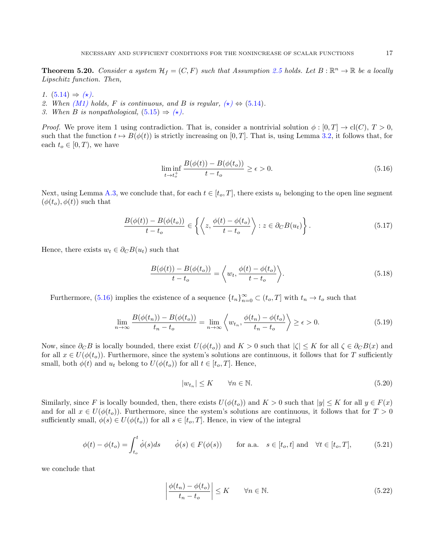<span id="page-16-3"></span>**Theorem 5.20.** Consider a system  $\mathcal{H}_f = (C, F)$  such that Assumption [2.5](#page-3-2) holds. Let  $B : \mathbb{R}^n \to \mathbb{R}$  be a locally Lipschitz function. Then,

- 1.  $(5.14) \Rightarrow (\star)$  $(5.14) \Rightarrow (\star)$ .
- 2. When  $(M1)$  holds, F is continuous, and B is regular,  $(\star) \Leftrightarrow (5.14)$  $(\star) \Leftrightarrow (5.14)$ .
- 3. When B is nonpathological,  $(5.15) \Rightarrow (\star)$  $(5.15) \Rightarrow (\star)$ .

*Proof.* We prove item 1 using contradiction. That is, consider a nontrivial solution  $\phi : [0, T] \to cl(C), T > 0$ , such that the function  $t \mapsto B(\phi(t))$  is strictly increasing on [0, T]. That is, using Lemma [3.2,](#page-5-4) it follows that, for each  $t_o \in [0, T)$ , we have

<span id="page-16-0"></span>
$$
\liminf_{t \to t_o^+} \frac{B(\phi(t)) - B(\phi(t_o))}{t - t_o} \ge \epsilon > 0. \tag{5.16}
$$

Next, using Lemma [A.3,](#page-20-1) we conclude that, for each  $t \in [t_0, T]$ , there exists  $u_t$  belonging to the open line segment  $(\phi(t_o), \phi(t))$  such that

$$
\frac{B(\phi(t)) - B(\phi(t_o))}{t - t_o} \in \left\{ \left\langle z, \frac{\phi(t) - \phi(t_o)}{t - t_o} \right\rangle : z \in \partial_C B(u_t) \right\}.
$$
\n(5.17)

Hence, there exists  $w_t \in \partial_C B(u_t)$  such that

$$
\frac{B(\phi(t)) - B(\phi(t_o))}{t - t_o} = \left\langle w_t, \frac{\phi(t) - \phi(t_o)}{t - t_o} \right\rangle.
$$
\n(5.18)

Furthermore, [\(5.16\)](#page-16-0) implies the existence of a sequence  $\{t_n\}_{n=0}^{\infty} \subset (t_o, T]$  with  $t_n \to t_o$  such that

$$
\lim_{n \to \infty} \frac{B(\phi(t_n)) - B(\phi(t_o))}{t_n - t_o} = \lim_{n \to \infty} \left\langle w_{t_n}, \frac{\phi(t_n) - \phi(t_o)}{t_n - t_o} \right\rangle \ge \epsilon > 0. \tag{5.19}
$$

Now, since  $\partial_C B$  is locally bounded, there exist  $U(\phi(t_o))$  and  $K > 0$  such that  $|\zeta| \leq K$  for all  $\zeta \in \partial_C B(x)$  and for all  $x \in U(\phi(t_o))$ . Furthermore, since the system's solutions are continuous, it follows that for T sufficiently small, both  $\phi(t)$  and  $u_t$  belong to  $U(\phi(t_o))$  for all  $t \in [t_o, T]$ . Hence,

<span id="page-16-2"></span><span id="page-16-1"></span>
$$
|w_{t_n}| \le K \qquad \forall n \in \mathbb{N}.\tag{5.20}
$$

Similarly, since F is locally bounded, then, there exists  $U(\phi(t_o))$  and  $K > 0$  such that  $|y| \leq K$  for all  $y \in F(x)$ and for all  $x \in U(\phi(t_o))$ . Furthermore, since the system's solutions are continuous, it follows that for  $T > 0$ sufficiently small,  $\phi(s) \in U(\phi(t_o))$  for all  $s \in [t_o, T]$ . Hence, in view of the integral

$$
\phi(t) - \phi(t_o) = \int_{t_o}^t \dot{\phi}(s)ds \qquad \dot{\phi}(s) \in F(\phi(s)) \qquad \text{for a.a.} \quad s \in [t_o, t] \text{ and } \quad \forall t \in [t_o, T], \tag{5.21}
$$

we conclude that

$$
\left| \frac{\phi(t_n) - \phi(t_o)}{t_n - t_o} \right| \le K \qquad \forall n \in \mathbb{N}.
$$
\n(5.22)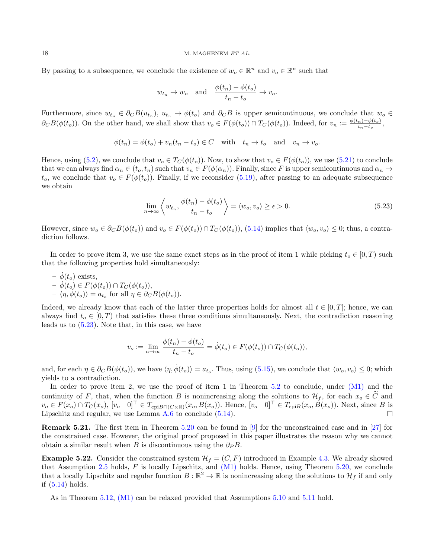By passing to a subsequence, we conclude the existence of  $w_o \in \mathbb{R}^n$  and  $v_o \in \mathbb{R}^n$  such that

$$
w_{t_n} \to w_o
$$
 and  $\frac{\phi(t_n) - \phi(t_o)}{t_n - t_o} \to v_o$ .

Furthermore, since  $w_{t_n} \in \partial_C B(u_{t_n}), u_{t_n} \to \phi(t_o)$  and  $\partial_C B$  is upper semicontinuous, we conclude that  $w_o \in$  $\partial_C B(\phi(t_o))$ . On the other hand, we shall show that  $v_o \in F(\phi(t_o)) \cap T_C(\phi(t_o))$ . Indeed, for  $v_n := \frac{\phi(t_n) - \phi(t_o)}{t_n - t_o}$  $\frac{1}{t_n-t_o},$ 

$$
\phi(t_n) = \phi(t_o) + v_n(t_n - t_o) \in C \quad \text{with} \quad t_n \to t_o \quad \text{and} \quad v_n \to v_o.
$$

Hence, using [\(5.2\)](#page-10-5), we conclude that  $v_o \in T_C(\phi(t_o))$ . Now, to show that  $v_o \in F(\phi(t_o))$ , we use [\(5.21\)](#page-16-1) to conclude that we can always find  $\alpha_n \in (t_o, t_n)$  such that  $v_n \in F(\phi(\alpha_n))$ . Finally, since F is upper semicontinuous and  $\alpha_n \to$  $t_o$ , we conclude that  $v_o \in F(\phi(t_o))$ . Finally, if we reconsider [\(5.19\)](#page-16-2), after passing to an adequate subsequence we obtain

<span id="page-17-0"></span>
$$
\lim_{n \to \infty} \left\langle w_{t_n}, \frac{\phi(t_n) - \phi(t_o)}{t_n - t_o} \right\rangle = \left\langle w_o, v_o \right\rangle \ge \epsilon > 0. \tag{5.23}
$$

However, since  $w_o \in \partial_C B(\phi(t_o))$  and  $v_o \in F(\phi(t_o)) \cap T_C(\phi(t_o))$ , [\(5.14\)](#page-15-0) implies that  $\langle w_o, v_o \rangle \leq 0$ ; thus, a contradiction follows.

In order to prove item 3, we use the same exact steps as in the proof of item 1 while picking  $t_0 \in [0, T)$  such that the following properties hold simultaneously:

 $\dot{\phi}(t_o)$  exists,  $- \dot{\phi}(t_o) \in F(\phi(t_o)) \cap T_C(\phi(t_o)),$  $- \langle \eta, \phi(t_o) \rangle = a_{t_o}$  for all  $\eta \in \partial_C B(\phi(t_o)).$ 

Indeed, we already know that each of the latter three properties holds for almost all  $t \in [0, T]$ ; hence, we can always find  $t_o \in [0, T)$  that satisfies these three conditions simultaneously. Next, the contradiction reasoning leads us to [\(5.23\)](#page-17-0). Note that, in this case, we have

$$
v_o := \lim_{n \to \infty} \frac{\phi(t_n) - \phi(t_o)}{t_n - t_o} = \dot{\phi}(t_o) \in F(\phi(t_o)) \cap T_C(\phi(t_o)),
$$

and, for each  $\eta \in \partial_C B(\phi(t_o))$ , we have  $\langle \eta, \dot{\phi}(t_o) \rangle = a_{t_o}$ . Thus, using [\(5.15\)](#page-15-1), we conclude that  $\langle w_o, v_o \rangle \leq 0$ ; which yields to a contradiction.

In order to prove item 2, we use the proof of item 1 in Theorem [5.2](#page-10-3) to conclude, under  $(M1)$  and the continuity of F, that, when the function B is nonincreasing along the solutions to  $\mathcal{H}_f$ , for each  $x_o \in \tilde{C}$  and  $v_o \in F(x_o) \cap T_C(x_o)$ ,  $[v_o \quad 0]^\top \in T_{\text{epi}B \cap (C \times \mathbb{R})}(x_o, B(x_o))$ . Hence,  $[v_o \quad 0]^\top \in T_{\text{epi}B}(x_o, B(x_o))$ . Next, since B is Lipschitz and regular, we use Lemma [A.6](#page-20-2) to conclude [\(5.14\)](#page-15-0).  $\Box$ 

**Remark 5.21.** The first item in Theorem [5.20](#page-16-3) can be found in [\[9\]](#page-21-11) for the unconstrained case and in [\[27\]](#page-21-25) for the constrained case. However, the original proof proposed in this paper illustrates the reason why we cannot obtain a similar result when B is discontinuous using the  $\partial_P B$ .

**Example 5.22.** Consider the constrained system  $\mathcal{H}_f = (C, F)$  introduced in Example [4.3.](#page-7-1) We already showed that Assumption [2.5](#page-3-2) holds,  $F$  is locally Lipschitz, and  $(M1)$  holds. Hence, using Theorem [5.20,](#page-16-3) we conclude that a locally Lipschitz and regular function  $B:\mathbb{R}^2\to\mathbb{R}$  is nonincreasing along the solutions to  $\mathcal{H}_f$  if and only if [\(5.14\)](#page-15-0) holds.

As in Theorem [5.12,](#page-13-4) [\(M1\)](#page-9-0) can be relaxed provided that Assumptions [5.10](#page-13-1) and [5.11](#page-13-2) hold.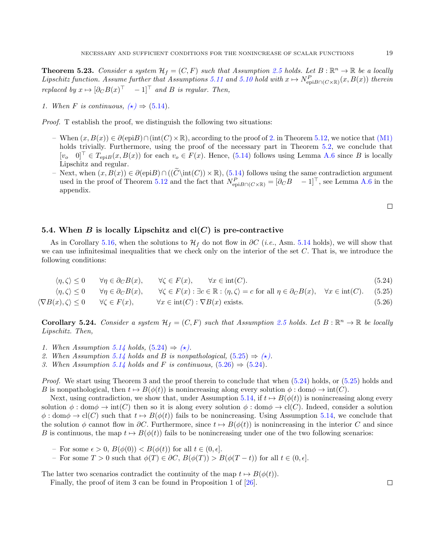<span id="page-18-3"></span>**Theorem 5.23.** Consider a system  $\mathcal{H}_f = (C, F)$  such that Assumption [2.5](#page-3-2) holds. Let  $B : \mathbb{R}^n \to \mathbb{R}$  be a locally Lipschitz function. Assume further that Assumptions [5.11](#page-13-2) and [5.10](#page-13-1) hold with  $x \mapsto N_{\text{epi}B \cap (C \times \mathbb{R})}^P(x, B(x))$  therein replaced by  $x \mapsto [\partial_C B(x)^{\top} - 1]^{\top}$  and B is regular. Then,

1. When F is continuous,  $(\star) \Rightarrow (5.14)$  $(\star) \Rightarrow (5.14)$ .

Proof. T establish the proof, we distinguish the following two situations:

- When (x, B(x)) ∈ ∂(epiB)∩(int(C)×R), according to the proof of [2.](#page-15-2) in Theorem [5.12,](#page-13-4) we notice that [\(M1\)](#page-9-0) holds trivially. Furthermore, using the proof of the necessary part in Theorem [5.2,](#page-10-3) we conclude that  $[v_0 \quad 0]^\top \in T_{\text{evi}B}(x, B(x))$  for each  $v_0 \in F(x)$ . Hence, [\(5.14\)](#page-15-0) follows using Lemma [A.6](#page-20-2) since B is locally Lipschitz and regular.
- Next, when  $(x, B(x)) \in \partial(\text{epi}B) \cap ((\widetilde{C} \setminus \text{int}(C)) \times \mathbb{R})$ , [\(5.14\)](#page-15-0) follows using the same contradiction argument used in the proof of Theorem [5.12](#page-13-4) and the fact that  $N_{epiB\cap(C\times\mathbb{R})}^P = [\partial_C B \quad -1]^\top$ , see Lemma [A.6](#page-20-2) in the appendix.

<span id="page-18-2"></span><span id="page-18-1"></span><span id="page-18-0"></span> $\Box$ 

### 5.4. When B is locally Lipschitz and  $cl(C)$  is pre-contractive

As in Corollary [5.16,](#page-14-5) when the solutions to  $\mathcal{H}_f$  do not flow in  $\partial C$  (*i.e.*, Asm. [5.14](#page-14-3) holds), we will show that we can use infinitesimal inequalities that we check only on the interior of the set  $C$ . That is, we introduce the following conditions:

$$
\langle \eta, \zeta \rangle \le 0 \qquad \forall \eta \in \partial_C B(x), \qquad \forall \zeta \in F(x), \qquad \forall x \in \text{int}(C). \tag{5.24}
$$

$$
\langle \eta, \zeta \rangle \le 0 \qquad \forall \eta \in \partial_C B(x), \qquad \forall \zeta \in F(x) : \exists c \in \mathbb{R} : \langle \eta, \zeta \rangle = c \text{ for all } \eta \in \partial_C B(x), \quad \forall x \in \text{int}(C). \tag{5.25}
$$

$$
\langle \nabla B(x), \zeta \rangle \le 0 \qquad \forall \zeta \in F(x), \qquad \forall x \in \text{int}(C) : \nabla B(x) \text{ exists.} \tag{5.26}
$$

<span id="page-18-4"></span>**Corollary 5.24.** Consider a system  $\mathcal{H}_f = (C, F)$  such that Assumption [2.5](#page-3-2) holds. Let  $B : \mathbb{R}^n \to \mathbb{R}$  be locally Lipschitz. Then,

- 1. When Assumption [5.14](#page-14-3) holds,  $(5.24) \Rightarrow (\star)$  $(5.24) \Rightarrow (\star)$ .
- 2. When Assumption [5.14](#page-14-3) holds and B is nonpathological,  $(5.25) \Rightarrow (\star)$  $(5.25) \Rightarrow (\star)$ .
- 3. When Assumption [5.14](#page-14-3) holds and F is continuous,  $(5.26) \Rightarrow (5.24)$  $(5.26) \Rightarrow (5.24)$  $(5.26) \Rightarrow (5.24)$ .

Proof. We start using Theorem 3 and the proof therein to conclude that when [\(5.24\)](#page-18-0) holds, or [\(5.25\)](#page-18-1) holds and B is nonpathological, then  $t \mapsto B(\phi(t))$  is nonincreasing along every solution  $\phi : \text{dom}\phi \to \text{int}(C)$ .

Next, using contradiction, we show that, under Assumption [5.14,](#page-14-3) if  $t \mapsto B(\phi(t))$  is nonincreasing along every solution  $\phi : \text{dom}\phi \to \text{int}(C)$  then so it is along every solution  $\phi : \text{dom}\phi \to \text{cl}(C)$ . Indeed, consider a solution  $\phi : \text{dom}\phi \to \text{cl}(C)$  such that  $t \mapsto B(\phi(t))$  fails to be nonincreasing. Using Assumption [5.14,](#page-14-3) we conclude that the solution  $\phi$  cannot flow in  $\partial C$ . Furthermore, since  $t \mapsto B(\phi(t))$  is nonincreasing in the interior C and since B is continuous, the map  $t \mapsto B(\phi(t))$  fails to be nonincreasing under one of the two following scenarios:

- For some  $\epsilon > 0$ ,  $B(\phi(0)) < B(\phi(t))$  for all  $t \in (0, \epsilon]$ .
- For some  $T > 0$  such that  $\phi(T) \in \partial C$ ,  $B(\phi(T)) > B(\phi(T t))$  for all  $t \in (0, \epsilon]$ .

The latter two scenarios contradict the continuity of the map  $t \mapsto B(\phi(t))$ .

Finally, the proof of item 3 can be found in Proposition 1 of [\[26\]](#page-21-27).

 $\Box$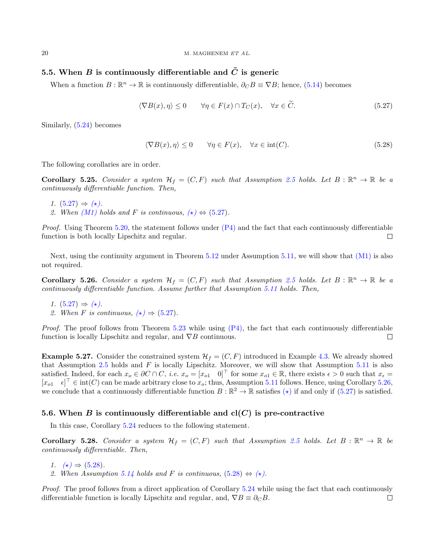### 5.5. When B is continuously differentiable and  $\tilde{C}$  is generic

When a function  $B : \mathbb{R}^n \to \mathbb{R}$  is continuously differentiable,  $\partial_C B \equiv \nabla B$ ; hence, [\(5.14\)](#page-15-0) becomes

$$
\langle \nabla B(x), \eta \rangle \le 0 \qquad \forall \eta \in F(x) \cap T_C(x), \quad \forall x \in \tilde{C}.
$$
 (5.27)

Similarly, [\(5.24\)](#page-18-0) becomes

<span id="page-19-2"></span><span id="page-19-0"></span>
$$
\langle \nabla B(x), \eta \rangle \le 0 \qquad \forall \eta \in F(x), \quad \forall x \in \text{int}(C). \tag{5.28}
$$

The following corollaries are in order.

**Corollary 5.25.** Consider a system  $\mathcal{H}_f = (C, F)$  such that Assumption [2.5](#page-3-2) holds. Let  $B : \mathbb{R}^n \to \mathbb{R}$  be a continuously differentiable function. Then,

- 1.  $(5.27) \Rightarrow (\star)$  $(5.27) \Rightarrow (\star)$ .
- 2. When [\(M1\)](#page-9-0) holds and F is continuous,  $(\star) \Leftrightarrow (5.27)$  $(\star) \Leftrightarrow (5.27)$ .

*Proof.* Using Theorem [5.20,](#page-16-3) the statement follows under  $(P4)$  and the fact that each continuously differentiable function is both locally Lipschitz and regular.  $\Box$ 

Next, using the continuity argument in Theorem [5.12](#page-13-4) under Assumption [5.11,](#page-13-2) we will show that [\(M1\)](#page-9-0) is also not required.

<span id="page-19-1"></span>**Corollary 5.26.** Consider a system  $\mathcal{H}_f = (C, F)$  such that Assumption [2.5](#page-3-2) holds. Let  $B : \mathbb{R}^n \to \mathbb{R}$  be a continuously differentiable function. Assume further that Assumption [5.11](#page-13-2) holds. Then,

- 1.  $(5.27) \Rightarrow (\star)$  $(5.27) \Rightarrow (\star)$ .
- 2. When F is continuous,  $(\star) \Rightarrow (5.27)$  $(\star) \Rightarrow (5.27)$ .

*Proof.* The proof follows from Theorem [5.23](#page-18-3) while using  $(P4)$ , the fact that each continuously differentiable function is locally Lipschitz and regular, and  $\nabla B$  continuous.  $\Box$ 

**Example 5.27.** Consider the constrained system  $\mathcal{H}_f = (C, F)$  introduced in Example [4.3.](#page-7-1) We already showed that Assumption  $2.5$  holds and F is locally Lipschitz. Moreover, we will show that Assumption  $5.11$  is also satisfied. Indeed, for each  $x_o \in \partial C \cap C$ , *i.e.*  $x_o = [x_{o1} \quad 0]^\top$  for some  $x_{o1} \in \mathbb{R}$ , there exists  $\epsilon > 0$  such that  $x_{\epsilon} =$  $[x_{o1} \quad \epsilon]^\top \in \text{int}(C)$  can be made arbitrary close to  $x_o$ ; thus, Assumption [5.11](#page-13-2) follows. Hence, using Corollary [5.26,](#page-19-1) we conclude that a continuously differentiable function  $B : \mathbb{R}^2 \to \mathbb{R}$  satisfies  $(\star)$  if and only if  $(5.27)$  is satisfied.

### 5.6. When B is continuously differentiable and  $cl(C)$  is pre-contractive

In this case, Corollary [5.24](#page-18-4) reduces to the following statement.

**Corollary 5.28.** Consider a system  $\mathcal{H}_f = (C, F)$  such that Assumption [2.5](#page-3-2) holds. Let  $B : \mathbb{R}^n \to \mathbb{R}$  be continuously differentiable. Then,

- 1.  $(\star) \Rightarrow (5.28)$  $(\star) \Rightarrow (5.28)$ .
- 2. When Assumption [5.14](#page-14-3) holds and F is continuous,  $(5.28) \Leftrightarrow (\star)$  $(5.28) \Leftrightarrow (\star)$ .

Proof. The proof follows from a direct application of Corollary [5.24](#page-18-4) while using the fact that each continuously differentiable function is locally Lipschitz and regular, and,  $\nabla B \equiv \partial_C B$ .  $\Box$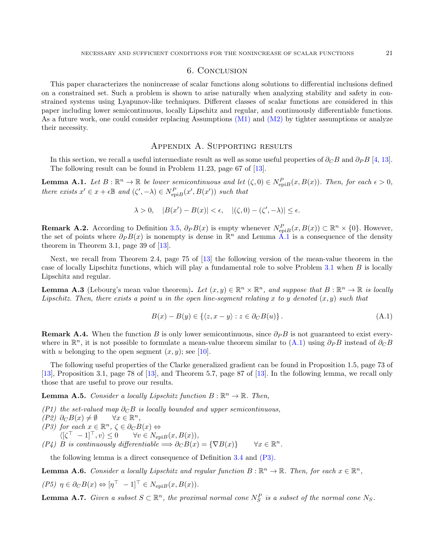### 6. Conclusion

This paper characterizes the nonincrease of scalar functions along solutions to differential inclusions defined on a constrained set. Such a problem is shown to arise naturally when analyzing stability and safety in constrained systems using Lyapunov-like techniques. Different classes of scalar functions are considered in this paper including lower semicontinuous, locally Lipschitz and regular, and continuously differentiable functions. As a future work, one could consider replacing Assumptions [\(M1\)](#page-9-0) and [\(M2\)](#page-9-1) by tighter assumptions or analyze their necessity.

### Appendix A. Supporting results

In this section, we recall a useful intermediate result as well as some useful properties of  $\partial_C B$  and  $\partial_P B$  [\[4,](#page-21-1) [13\]](#page-21-12). The following result can be found in Problem 11.23, page 67 of [\[13\]](#page-21-12).

<span id="page-20-0"></span>**Lemma A.1.** Let  $B: \mathbb{R}^n \to \mathbb{R}$  be lower semicontinuous and let  $(\zeta, 0) \in N_{\text{epi}B}^P(x, B(x))$ . Then, for each  $\epsilon > 0$ , there exists  $x' \in x + \epsilon \mathbb{B}$  and  $(\zeta', -\lambda) \in N_{\text{epi}B}^P(x', B(x'))$  such that

$$
\lambda > 0, \quad |B(x') - B(x)| < \epsilon, \quad |(\zeta, 0) - (\zeta', -\lambda)| \le \epsilon.
$$

**Remark A.2.** According to Definition [3.5,](#page-6-5)  $\partial_P B(x)$  is empty whenever  $N_{\text{epi}B}^P(x, B(x)) \subset \mathbb{R}^n \times \{0\}$ . However, the set of points where  $\partial_P B(x)$  is nonempty is dense in  $\mathbb{R}^n$  and Lemma [A.1](#page-20-0) is a consequence of the density theorem in Theorem 3.1, page 39 of [\[13\]](#page-21-12).

Next, we recall from Theorem 2.4, page 75 of [\[13\]](#page-21-12) the following version of the mean-value theorem in the case of locally Lipschitz functions, which will play a fundamental role to solve Problem [3.1](#page-4-1) when B is locally Lipschitz and regular.

<span id="page-20-1"></span>**Lemma A.3** (Lebourg's mean value theorem). Let  $(x, y) \in \mathbb{R}^n \times \mathbb{R}^n$ , and suppose that  $B : \mathbb{R}^n \to \mathbb{R}$  is locally Lipschitz. Then, there exists a point u in the open line-segment relating x to y denoted  $(x, y)$  such that

<span id="page-20-4"></span>
$$
B(x) - B(y) \in \{ \langle z, x - y \rangle : z \in \partial_C B(u) \}.
$$
\n(A.1)

**Remark A.4.** When the function B is only lower semicontinuous, since  $\partial_P B$  is not guaranteed to exist everywhere in  $\mathbb{R}^n$ , it is not possible to formulate a mean-value theorem similar to  $(A.1)$  using  $\partial_P B$  instead of  $\partial_C B$ with u belonging to the open segment  $(x, y)$ ; see [\[10\]](#page-21-28).

The following useful properties of the Clarke generalized gradient can be found in Proposition 1.5, page 73 of [\[13\]](#page-21-12), Proposition 3.1, page 78 of [\[13\]](#page-21-12), and Theorem 5.7, page 87 of [\[13\]](#page-21-12). In the following lemma, we recall only those that are useful to prove our results.

**Lemma A.5.** Consider a locally Lipschitz function  $B : \mathbb{R}^n \to \mathbb{R}$ . Then,

(P1) the set-valued map  $\partial_C B$  is locally bounded and upper semicontinuous,

 $(P2)$  ∂<sub>C</sub> $B(x) \neq \emptyset$  $\forall x \in \mathbb{R}^n$ .

<span id="page-20-5"></span>(P3) for each  $x \in \mathbb{R}^n$ ,  $\zeta \in \partial_C B(x)$   $\Leftrightarrow$ 

 $\langle [\zeta^\top - 1]^\top, v \rangle \leq 0 \quad \forall v \in N_{\text{epi}B}(x, B(x)),$ 

<span id="page-20-3"></span>(P4) B is continuously differentiable  $\implies \partial_C B(x) = {\nabla B(x)} \quad \forall x \in \mathbb{R}$  $\forall x \in \mathbb{R}^n$ .

the following lemma is a direct consequence of Definition [3.4](#page-5-5) and [\(P3\).](#page-20-5)

<span id="page-20-2"></span>**Lemma A.6.** Consider a locally Lipschitz and regular function  $B : \mathbb{R}^n \to \mathbb{R}$ . Then, for each  $x \in \mathbb{R}^n$ ,

$$
(P5)\ \eta \in \partial_C B(x) \Leftrightarrow [\eta^\top - 1]^\top \in N_{\text{epi}B}(x, B(x)).
$$

**Lemma A.7.** Given a subset  $S \subset \mathbb{R}^n$ , the proximal normal cone  $N_S^P$  is a subset of the normal cone  $N_S$ .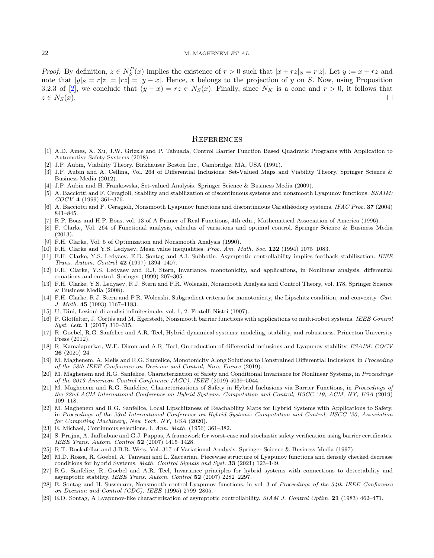*Proof.* By definition,  $z \in N_S^P(x)$  implies the existence of  $r > 0$  such that  $|x + rz|_S = r|z|$ . Let  $y := x + rz$  and note that  $|y|_S = r|z| = |rz| = |y - x|$ . Hence, x belongs to the projection of y on S. Now, using Proposition 3.2.3 of [\[2\]](#page-21-17), we conclude that  $(y - x) = rz \in N_S(x)$ . Finally, since  $N_K$  is a cone and  $r > 0$ , it follows that  $z \in N_S(x)$ . П

#### **REFERENCES**

- <span id="page-21-21"></span>[1] A.D. Ames, X. Xu, J.W. Grizzle and P. Tabuada, Control Barrier Function Based Quadratic Programs with Application to Automotive Safety Systems (2018).
- <span id="page-21-17"></span>[2] J.P. Aubin, Viability Theory. Birkhauser Boston Inc., Cambridge, MA, USA (1991).
- <span id="page-21-6"></span>[3] J.P. Aubin and A. Cellina, Vol. 264 of Differential Inclusions: Set-Valued Maps and Viability Theory. Springer Science & Business Media (2012).
- <span id="page-21-1"></span>[4] J.P. Aubin and H. Frankowska, Set-valued Analysis. Springer Science & Business Media (2009).
- <span id="page-21-10"></span>[5] A. Bacciotti and F. Ceragioli, Stability and stabilization of discontinuous systems and nonsmooth Lyapunov functions. ESAIM: COCV 4 (1999) 361–376.
- <span id="page-21-26"></span>[6] A. Bacciotti and F. Ceragioli, Nonsmooth Lyapunov functions and discontinuous Carathéodory systems. IFAC Proc. 37 (2004) 841–845.
- <span id="page-21-0"></span>[7] R.P. Boas and H.P. Boas, vol. 13 of A Primer of Real Functions, 4th edn., Mathematical Association of America (1996).
- <span id="page-21-9"></span>[8] F. Clarke, Vol. 264 of Functional analysis, calculus of variations and optimal control. Springer Science & Business Media (2013).
- <span id="page-21-11"></span>[9] F.H. Clarke, Vol. 5 of Optimization and Nonsmooth Analysis (1990).
- <span id="page-21-28"></span>[10] F.H. Clarke and Y.S. Ledyaev, Mean value inequalities. Proc. Am. Math. Soc. 122 (1994) 1075–1083.
- <span id="page-21-2"></span>[11] F.H. Clarke, Y.S. Ledyaev, E.D. Sontag and A.I. Subbotin, Asymptotic controllability implies feedback stabilization. IEEE Trans. Autom. Control 42 (1997) 1394–1407.
- <span id="page-21-7"></span>[12] F.H. Clarke, Y.S. Ledyaev and R.J. Stern, Invariance, monotonicity, and applications, in Nonlinear analysis, differential equations and control. Springer (1999) 207–305.
- <span id="page-21-12"></span>[13] F.H. Clarke, Y.S. Ledyaev, R.J. Stern and P.R. Wolenski, Nonsmooth Analysis and Control Theory, vol. 178, Springer Science & Business Media (2008).
- <span id="page-21-8"></span>[14] F.H. Clarke, R.J. Stern and P.R. Wolenski, Subgradient criteria for monotonicity, the Lipschitz condition, and convexity. Can. J. Math. 45 (1993) 1167–1183.
- <span id="page-21-5"></span>[15] U. Dini, Lezioni di analisi infinitesimale, vol. 1, 2. Fratelli Nistri (1907).
- <span id="page-21-22"></span>[16] P. Glotfelter, J. Cortés and M. Egerstedt, Nonsmooth barrier functions with applications to multi-robot systems. IEEE Control Syst. Lett. 1 (2017) 310–315.
- <span id="page-21-15"></span>[17] R. Goebel, R.G. Sanfelice and A.R. Teel, Hybrid dynamical systems: modeling, stability, and robustness. Princeton University Press (2012).
- <span id="page-21-13"></span>[18] R. Kamalapurkar, W.E. Dixon and A.R. Teel, On reduction of differential inclusions and Lyapunov stability. ESAIM: COCV 26 (2020) 24.
- <span id="page-21-14"></span>[19] M. Maghenem, A. Melis and R.G. Sanfelice, Monotonicity Along Solutions to Constrained Differential Inclusions, in Proceeding of the 58th IEEE Conference on Decision and Control, Nice, France (2019).
- <span id="page-21-24"></span>[20] M. Maghenem and R.G. Sanfelice, Characterization of Safety and Conditional Invariance for Nonlinear Systems, in Proceedings of the 2019 American Control Conference (ACC), IEEE (2019) 5039–5044.
- <span id="page-21-19"></span>[21] M. Maghenem and R.G. Sanfelice, Characterizations of Safety in Hybrid Inclusions via Barrier Functions, in Proceedings of the 22nd ACM International Conference on Hybrid Systems: Computation and Control, HSCC '19, ACM, NY, USA (2019) 109–118.
- <span id="page-21-20"></span>[22] M. Maghenem and R.G. Sanfelice, Local Lipschitzness of Reachability Maps for Hybrid Systems with Applications to Safety, in Proceedings of the 23rd International Conference on Hybrid Systems: Computation and Control, HSCC '20, Association for Computing Machinery, New York, NY, USA (2020).
- <span id="page-21-16"></span>[23] E. Michael, Continuous selections. I. Ann. Math. (1956) 361–382.
- <span id="page-21-23"></span>[24] S. Prajna, A. Jadbabaie and G.J. Pappas, A framework for worst-case and stochastic safety verification using barrier certificates. IEEE Trans. Autom. Control 52 (2007) 1415–1428.
- <span id="page-21-18"></span>[25] R.T. Rockafellar and J.B.R. Wets, Vol. 317 of Variational Analysis. Springer Science & Business Media (1997).
- <span id="page-21-27"></span>[26] M.D. Rossa, R. Goebel, A. Tanwani and L. Zaccarian, Piecewise structure of Lyapunov functions and densely checked decrease conditions for hybrid Systems. Math. Control Signals and Syst. 33 (2021) 123–149.
- <span id="page-21-25"></span>[27] R.G. Sanfelice, R. Goebel and A.R. Teel, Invariance principles for hybrid systems with connections to detectability and asymptotic stability. IEEE Trans. Autom. Control 52 (2007) 2282–2297.
- <span id="page-21-3"></span>[28] E. Sontag and H. Sussmann, Nonsmooth control-Lyapunov functions, in vol. 3 of Proceedings of the 34th IEEE Conference on Decision and Control (CDC). IEEE (1995) 2799–2805.
- <span id="page-21-4"></span>[29] E.D. Sontag, A Lyapunov-like characterization of asymptotic controllability. SIAM J. Control Optim. 21 (1983) 462-471.